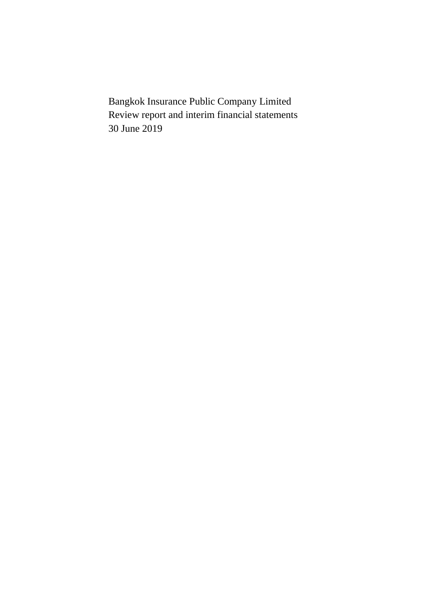Bangkok Insurance Public Company Limited Review report and interim financial statements 30 June 2019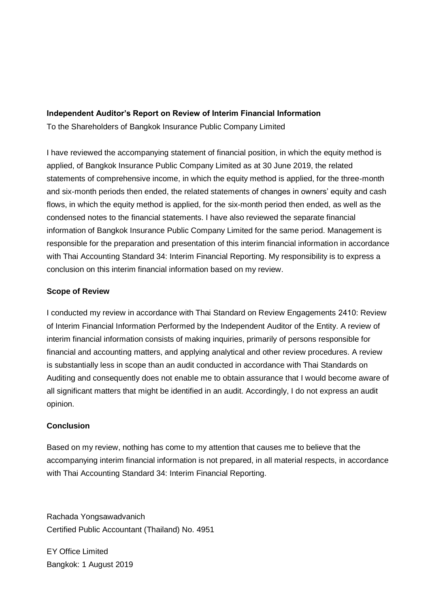# **Independent Auditor's Report on Review of Interim Financial Information**

To the Shareholders of Bangkok Insurance Public Company Limited

I have reviewed the accompanying statement of financial position, in which the equity method is applied, of Bangkok Insurance Public Company Limited as at 30 June 2019, the related statements of comprehensive income, in which the equity method is applied, for the three-month and six-month periods then ended, the related statements of changes in owners' equity and cash flows, in which the equity method is applied, for the six-month period then ended, as well as the condensed notes to the financial statements. I have also reviewed the separate financial information of Bangkok Insurance Public Company Limited for the same period. Management is responsible for the preparation and presentation of this interim financial information in accordance with Thai Accounting Standard 34: Interim Financial Reporting. My responsibility is to express a conclusion on this interim financial information based on my review.

# **Scope of Review**

I conducted my review in accordance with Thai Standard on Review Engagements 2410: Review of Interim Financial Information Performed by the Independent Auditor of the Entity. A review of interim financial information consists of making inquiries, primarily of persons responsible for financial and accounting matters, and applying analytical and other review procedures. A review is substantially less in scope than an audit conducted in accordance with Thai Standards on Auditing and consequently does not enable me to obtain assurance that I would become aware of all significant matters that might be identified in an audit. Accordingly, I do not express an audit opinion.

# **Conclusion**

Based on my review, nothing has come to my attention that causes me to believe that the accompanying interim financial information is not prepared, in all material respects, in accordance with Thai Accounting Standard 34: Interim Financial Reporting.

Rachada Yongsawadvanich Certified Public Accountant (Thailand) No. 4951

EY Office Limited Bangkok: 1 August 2019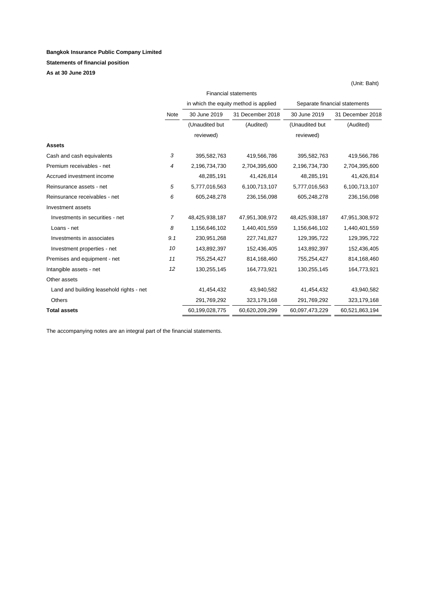#### **Bangkok Insurance Public Company Limited**

**Statements of financial position**

**As at 30 June 2019**

| in which the equity method is applied<br>Separate financial statements<br>31 December 2018<br>30 June 2019<br>31 December 2018<br>30 June 2019<br>Note<br>(Unaudited but<br>(Audited)<br>(Audited)<br>(Unaudited but<br>reviewed)<br>reviewed)<br><b>Assets</b><br>395,582,763<br>419,566,786<br>Cash and cash equivalents<br>3<br>395,582,763<br>419,566,786<br>Premium receivables - net<br>2,196,734,730<br>2,704,395,600<br>2,196,734,730<br>2,704,395,600<br>4<br>Accrued investment income<br>48,285,191<br>41,426,814<br>48,285,191<br>41,426,814<br>5<br>6,100,713,107<br>6,100,713,107<br>5,777,016,563<br>5,777,016,563<br>Reinsurance assets - net<br>6<br>Reinsurance receivables - net<br>605,248,278<br>236,156,098<br>236,156,098<br>605,248,278<br>Investment assets<br>$\overline{7}$<br>Investments in securities - net<br>48,425,938,187<br>47,951,308,972<br>48,425,938,187<br>47,951,308,972<br>8<br>1,156,646,102<br>1,440,401,559<br>1,440,401,559<br>1,156,646,102<br>Loans - net<br>9.1<br>230,951,268<br>129,395,722<br>Investments in associates<br>227,741,827<br>129,395,722<br>143,892,397<br>152,436,405<br>152,436,405<br>Investment properties - net<br>10<br>143,892,397<br>Premises and equipment - net<br>11<br>755,254,427<br>814, 168, 460<br>755,254,427<br>814,168,460<br>164,773,921<br>164,773,921<br>Intangible assets - net<br>12<br>130,255,145<br>130,255,145<br>Other assets<br>Land and building leasehold rights - net<br>41,454,432<br>43,940,582<br>41,454,432<br>43,940,582<br>291,769,292<br>323,179,168<br>291,769,292<br>323, 179, 168<br>Others<br>60,199,028,775<br>60,620,209,299<br>60,097,473,229<br>60,521,863,194<br><b>Total assets</b> |  | <b>Financial statements</b> |  |  |  |
|--------------------------------------------------------------------------------------------------------------------------------------------------------------------------------------------------------------------------------------------------------------------------------------------------------------------------------------------------------------------------------------------------------------------------------------------------------------------------------------------------------------------------------------------------------------------------------------------------------------------------------------------------------------------------------------------------------------------------------------------------------------------------------------------------------------------------------------------------------------------------------------------------------------------------------------------------------------------------------------------------------------------------------------------------------------------------------------------------------------------------------------------------------------------------------------------------------------------------------------------------------------------------------------------------------------------------------------------------------------------------------------------------------------------------------------------------------------------------------------------------------------------------------------------------------------------------------------------------------------------------------------------------------------------------------------------------------|--|-----------------------------|--|--|--|
|                                                                                                                                                                                                                                                                                                                                                                                                                                                                                                                                                                                                                                                                                                                                                                                                                                                                                                                                                                                                                                                                                                                                                                                                                                                                                                                                                                                                                                                                                                                                                                                                                                                                                                        |  |                             |  |  |  |
|                                                                                                                                                                                                                                                                                                                                                                                                                                                                                                                                                                                                                                                                                                                                                                                                                                                                                                                                                                                                                                                                                                                                                                                                                                                                                                                                                                                                                                                                                                                                                                                                                                                                                                        |  |                             |  |  |  |
|                                                                                                                                                                                                                                                                                                                                                                                                                                                                                                                                                                                                                                                                                                                                                                                                                                                                                                                                                                                                                                                                                                                                                                                                                                                                                                                                                                                                                                                                                                                                                                                                                                                                                                        |  |                             |  |  |  |
|                                                                                                                                                                                                                                                                                                                                                                                                                                                                                                                                                                                                                                                                                                                                                                                                                                                                                                                                                                                                                                                                                                                                                                                                                                                                                                                                                                                                                                                                                                                                                                                                                                                                                                        |  |                             |  |  |  |
|                                                                                                                                                                                                                                                                                                                                                                                                                                                                                                                                                                                                                                                                                                                                                                                                                                                                                                                                                                                                                                                                                                                                                                                                                                                                                                                                                                                                                                                                                                                                                                                                                                                                                                        |  |                             |  |  |  |
|                                                                                                                                                                                                                                                                                                                                                                                                                                                                                                                                                                                                                                                                                                                                                                                                                                                                                                                                                                                                                                                                                                                                                                                                                                                                                                                                                                                                                                                                                                                                                                                                                                                                                                        |  |                             |  |  |  |
|                                                                                                                                                                                                                                                                                                                                                                                                                                                                                                                                                                                                                                                                                                                                                                                                                                                                                                                                                                                                                                                                                                                                                                                                                                                                                                                                                                                                                                                                                                                                                                                                                                                                                                        |  |                             |  |  |  |
|                                                                                                                                                                                                                                                                                                                                                                                                                                                                                                                                                                                                                                                                                                                                                                                                                                                                                                                                                                                                                                                                                                                                                                                                                                                                                                                                                                                                                                                                                                                                                                                                                                                                                                        |  |                             |  |  |  |
|                                                                                                                                                                                                                                                                                                                                                                                                                                                                                                                                                                                                                                                                                                                                                                                                                                                                                                                                                                                                                                                                                                                                                                                                                                                                                                                                                                                                                                                                                                                                                                                                                                                                                                        |  |                             |  |  |  |
|                                                                                                                                                                                                                                                                                                                                                                                                                                                                                                                                                                                                                                                                                                                                                                                                                                                                                                                                                                                                                                                                                                                                                                                                                                                                                                                                                                                                                                                                                                                                                                                                                                                                                                        |  |                             |  |  |  |
|                                                                                                                                                                                                                                                                                                                                                                                                                                                                                                                                                                                                                                                                                                                                                                                                                                                                                                                                                                                                                                                                                                                                                                                                                                                                                                                                                                                                                                                                                                                                                                                                                                                                                                        |  |                             |  |  |  |
|                                                                                                                                                                                                                                                                                                                                                                                                                                                                                                                                                                                                                                                                                                                                                                                                                                                                                                                                                                                                                                                                                                                                                                                                                                                                                                                                                                                                                                                                                                                                                                                                                                                                                                        |  |                             |  |  |  |
|                                                                                                                                                                                                                                                                                                                                                                                                                                                                                                                                                                                                                                                                                                                                                                                                                                                                                                                                                                                                                                                                                                                                                                                                                                                                                                                                                                                                                                                                                                                                                                                                                                                                                                        |  |                             |  |  |  |
|                                                                                                                                                                                                                                                                                                                                                                                                                                                                                                                                                                                                                                                                                                                                                                                                                                                                                                                                                                                                                                                                                                                                                                                                                                                                                                                                                                                                                                                                                                                                                                                                                                                                                                        |  |                             |  |  |  |
|                                                                                                                                                                                                                                                                                                                                                                                                                                                                                                                                                                                                                                                                                                                                                                                                                                                                                                                                                                                                                                                                                                                                                                                                                                                                                                                                                                                                                                                                                                                                                                                                                                                                                                        |  |                             |  |  |  |
|                                                                                                                                                                                                                                                                                                                                                                                                                                                                                                                                                                                                                                                                                                                                                                                                                                                                                                                                                                                                                                                                                                                                                                                                                                                                                                                                                                                                                                                                                                                                                                                                                                                                                                        |  |                             |  |  |  |
|                                                                                                                                                                                                                                                                                                                                                                                                                                                                                                                                                                                                                                                                                                                                                                                                                                                                                                                                                                                                                                                                                                                                                                                                                                                                                                                                                                                                                                                                                                                                                                                                                                                                                                        |  |                             |  |  |  |
|                                                                                                                                                                                                                                                                                                                                                                                                                                                                                                                                                                                                                                                                                                                                                                                                                                                                                                                                                                                                                                                                                                                                                                                                                                                                                                                                                                                                                                                                                                                                                                                                                                                                                                        |  |                             |  |  |  |
|                                                                                                                                                                                                                                                                                                                                                                                                                                                                                                                                                                                                                                                                                                                                                                                                                                                                                                                                                                                                                                                                                                                                                                                                                                                                                                                                                                                                                                                                                                                                                                                                                                                                                                        |  |                             |  |  |  |
|                                                                                                                                                                                                                                                                                                                                                                                                                                                                                                                                                                                                                                                                                                                                                                                                                                                                                                                                                                                                                                                                                                                                                                                                                                                                                                                                                                                                                                                                                                                                                                                                                                                                                                        |  |                             |  |  |  |
|                                                                                                                                                                                                                                                                                                                                                                                                                                                                                                                                                                                                                                                                                                                                                                                                                                                                                                                                                                                                                                                                                                                                                                                                                                                                                                                                                                                                                                                                                                                                                                                                                                                                                                        |  |                             |  |  |  |

The accompanying notes are an integral part of the financial statements.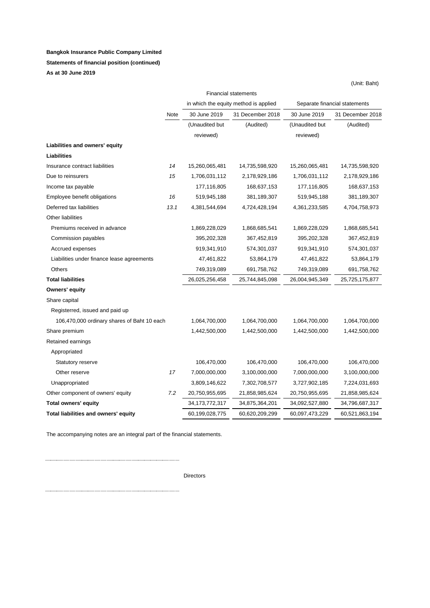#### **Bangkok Insurance Public Company Limited**

#### **Statements of financial position (continued)**

**As at 30 June 2019**

|                                             |      |                   | <b>Financial statements</b>           |                               |                  |  |
|---------------------------------------------|------|-------------------|---------------------------------------|-------------------------------|------------------|--|
|                                             |      |                   | in which the equity method is applied | Separate financial statements |                  |  |
|                                             | Note | 30 June 2019      | 31 December 2018                      | 30 June 2019                  | 31 December 2018 |  |
|                                             |      | (Unaudited but    | (Audited)                             | (Unaudited but                | (Audited)        |  |
|                                             |      | reviewed)         |                                       | reviewed)                     |                  |  |
| Liabilities and owners' equity              |      |                   |                                       |                               |                  |  |
| Liabilities                                 |      |                   |                                       |                               |                  |  |
| Insurance contract liabilities              | 14   | 15,260,065,481    | 14,735,598,920                        | 15,260,065,481                | 14,735,598,920   |  |
| Due to reinsurers                           | 15   | 1,706,031,112     | 2,178,929,186                         | 1,706,031,112                 | 2,178,929,186    |  |
| Income tax payable                          |      | 177,116,805       | 168,637,153                           | 177,116,805                   | 168,637,153      |  |
| Employee benefit obligations                | 16   | 519,945,188       | 381,189,307                           | 519,945,188                   | 381,189,307      |  |
| Deferred tax liabilities                    | 13.1 | 4,381,544,694     | 4,724,428,194                         | 4,361,233,585                 | 4,704,758,973    |  |
| Other liabilities                           |      |                   |                                       |                               |                  |  |
| Premiums received in advance                |      | 1,869,228,029     | 1,868,685,541                         | 1,869,228,029                 | 1,868,685,541    |  |
| Commission payables                         |      | 395,202,328       | 367,452,819                           | 395,202,328                   | 367,452,819      |  |
| Accrued expenses                            |      | 919,341,910       | 574,301,037                           | 919,341,910                   | 574,301,037      |  |
| Liabilities under finance lease agreements  |      | 47,461,822        | 53,864,179                            | 47,461,822                    | 53,864,179       |  |
| Others                                      |      | 749,319,089       | 691,758,762                           | 749,319,089                   | 691,758,762      |  |
| <b>Total liabilities</b>                    |      | 26,025,256,458    | 25,744,845,098                        | 26,004,945,349                | 25,725,175,877   |  |
| Owners' equity                              |      |                   |                                       |                               |                  |  |
| Share capital                               |      |                   |                                       |                               |                  |  |
| Registerred, issued and paid up             |      |                   |                                       |                               |                  |  |
| 106,470,000 ordinary shares of Baht 10 each |      | 1,064,700,000     | 1,064,700,000                         | 1,064,700,000                 | 1,064,700,000    |  |
| Share premium                               |      | 1,442,500,000     | 1,442,500,000                         | 1,442,500,000                 | 1,442,500,000    |  |
| Retained earnings                           |      |                   |                                       |                               |                  |  |
| Appropriated                                |      |                   |                                       |                               |                  |  |
| <b>Statutory reserve</b>                    |      | 106,470,000       | 106,470,000                           | 106,470,000                   | 106,470,000      |  |
| Other reserve                               | 17   | 7,000,000,000     | 3,100,000,000                         | 7,000,000,000                 | 3,100,000,000    |  |
| Unappropriated                              |      | 3,809,146,622     | 7,302,708,577                         | 3,727,902,185                 | 7,224,031,693    |  |
| Other component of owners' equity           | 7.2  | 20,750,955,695    | 21,858,985,624                        | 20,750,955,695                | 21,858,985,624   |  |
| <b>Total owners' equity</b>                 |      | 34, 173, 772, 317 | 34,875,364,201                        | 34,092,527,880                | 34,796,687,317   |  |
| Total liabilities and owners' equity        |      | 60,199,028,775    | 60,620,209,299                        | 60,097,473,229                | 60,521,863,194   |  |

The accompanying notes are an integral part of the financial statements.

Directors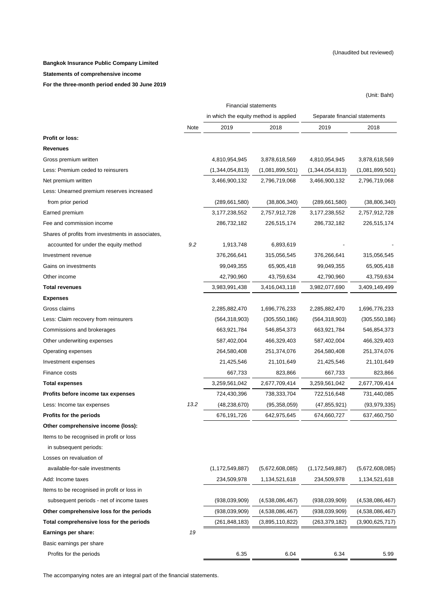(Unit: Baht)

#### **Bangkok Insurance Public Company Limited**

#### **Statements of comprehensive income**

**For the three-month period ended 30 June 2019**

|                                                   | <b>Financial statements</b> |                                       |                 |                               |                 |  |
|---------------------------------------------------|-----------------------------|---------------------------------------|-----------------|-------------------------------|-----------------|--|
|                                                   |                             | in which the equity method is applied |                 | Separate financial statements |                 |  |
|                                                   | Note                        | 2019                                  | 2018            | 2019                          | 2018            |  |
| <b>Profit or loss:</b>                            |                             |                                       |                 |                               |                 |  |
| <b>Revenues</b>                                   |                             |                                       |                 |                               |                 |  |
| Gross premium written                             |                             | 4,810,954,945                         | 3,878,618,569   | 4,810,954,945                 | 3,878,618,569   |  |
| Less: Premium ceded to reinsurers                 |                             | (1,344,054,813)                       | (1,081,899,501) | (1,344,054,813)               | (1,081,899,501) |  |
| Net premium written                               |                             | 3,466,900,132                         | 2,796,719,068   | 3,466,900,132                 | 2,796,719,068   |  |
| Less: Unearned premium reserves increased         |                             |                                       |                 |                               |                 |  |
| from prior period                                 |                             | (289, 661, 580)                       | (38, 806, 340)  | (289,661,580)                 | (38, 806, 340)  |  |
| Earned premium                                    |                             | 3,177,238,552                         | 2,757,912,728   | 3, 177, 238, 552              | 2,757,912,728   |  |
| Fee and commission income                         |                             | 286,732,182                           | 226,515,174     | 286,732,182                   | 226,515,174     |  |
| Shares of profits from investments in associates, |                             |                                       |                 |                               |                 |  |
| accounted for under the equity method             | 9.2                         | 1,913,748                             | 6,893,619       |                               |                 |  |
| Investment revenue                                |                             | 376,266,641                           | 315,056,545     | 376,266,641                   | 315,056,545     |  |
| Gains on investments                              |                             | 99,049,355                            | 65,905,418      | 99,049,355                    | 65,905,418      |  |
| Other income                                      |                             | 42,790,960                            | 43,759,634      | 42,790,960                    | 43,759,634      |  |
| <b>Total revenues</b>                             |                             | 3,983,991,438                         | 3,416,043,118   | 3,982,077,690                 | 3,409,149,499   |  |
| <b>Expenses</b>                                   |                             |                                       |                 |                               |                 |  |
| Gross claims                                      |                             | 2,285,882,470                         | 1,696,776,233   | 2,285,882,470                 | 1,696,776,233   |  |
| Less: Claim recovery from reinsurers              |                             | (564, 318, 903)                       | (305, 550, 186) | (564,318,903)                 | (305, 550, 186) |  |
| Commissions and brokerages                        |                             | 663,921,784                           | 546,854,373     | 663,921,784                   | 546,854,373     |  |
| Other underwriting expenses                       |                             | 587,402,004                           | 466,329,403     | 587,402,004                   | 466,329,403     |  |
| Operating expenses                                |                             | 264,580,408                           | 251,374,076     | 264,580,408                   | 251,374,076     |  |
| Investment expenses                               |                             | 21,425,546                            | 21,101,649      | 21,425,546                    | 21,101,649      |  |
| Finance costs                                     |                             | 667,733                               | 823,866         | 667,733                       | 823,866         |  |
| Total expenses                                    |                             | 3,259,561,042                         | 2,677,709,414   | 3,259,561,042                 | 2,677,709,414   |  |
| Profits before income tax expenses                |                             | 724,430,396                           | 738,333,704     | 722,516,648                   | 731,440,085     |  |
| Less: Income tax expenses                         | 13.2                        | (48, 238, 670)                        | (95, 358, 059)  | (47, 855, 921)                | (93, 979, 335)  |  |
| <b>Profits for the periods</b>                    |                             | 676,191,726                           | 642,975,645     | 674,660,727                   | 637,460,750     |  |
| Other comprehensive income (loss):                |                             |                                       |                 |                               |                 |  |
| Items to be recognised in profit or loss          |                             |                                       |                 |                               |                 |  |
| in subsequent periods:                            |                             |                                       |                 |                               |                 |  |
| Losses on revaluation of                          |                             |                                       |                 |                               |                 |  |
| available-for-sale investments                    |                             | (1, 172, 549, 887)                    | (5,672,608,085) | (1, 172, 549, 887)            | (5,672,608,085) |  |
| Add: Income taxes                                 |                             | 234,509,978                           | 1,134,521,618   | 234,509,978                   | 1,134,521,618   |  |
| Items to be recognised in profit or loss in       |                             |                                       |                 |                               |                 |  |
| subsequent periods - net of income taxes          |                             | (938,039,909)                         | (4,538,086,467) | (938,039,909)                 | (4,538,086,467) |  |
| Other comprehensive loss for the periods          |                             | (938,039,909)                         | (4,538,086,467) | (938,039,909)                 | (4,538,086,467) |  |
| Total comprehensive loss for the periods          |                             | (261, 848, 183)                       | (3,895,110,822) | (263,379,182)                 | (3,900,625,717) |  |
| Earnings per share:                               | 19                          |                                       |                 |                               |                 |  |
| Basic earnings per share                          |                             |                                       |                 |                               |                 |  |
| Profits for the periods                           |                             | 6.35                                  | 6.04            | 6.34                          | 5.99            |  |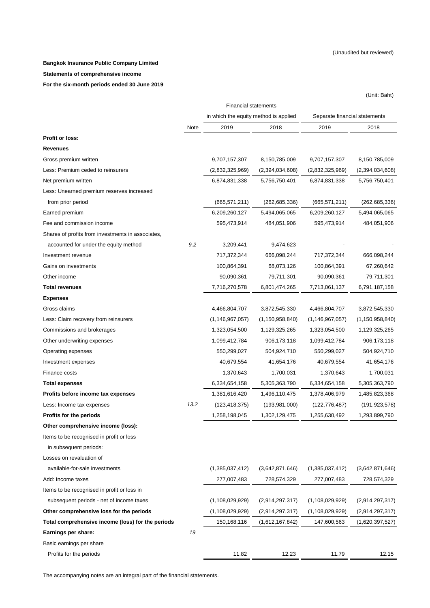(Unit: Baht)

#### **Bangkok Insurance Public Company Limited**

#### **Statements of comprehensive income**

**For the six-month periods ended 30 June 2019**

|                                                   | <b>Financial statements</b> |                                       |                    |                               |                    |  |
|---------------------------------------------------|-----------------------------|---------------------------------------|--------------------|-------------------------------|--------------------|--|
|                                                   |                             | in which the equity method is applied |                    | Separate financial statements |                    |  |
|                                                   | Note                        | 2019                                  | 2018               | 2019                          | 2018               |  |
| <b>Profit or loss:</b>                            |                             |                                       |                    |                               |                    |  |
| <b>Revenues</b>                                   |                             |                                       |                    |                               |                    |  |
| Gross premium written                             |                             | 9,707,157,307                         | 8,150,785,009      | 9,707,157,307                 | 8,150,785,009      |  |
| Less: Premium ceded to reinsurers                 |                             | (2,832,325,969)                       | (2,394,034,608)    | (2,832,325,969)               | (2,394,034,608)    |  |
| Net premium written                               |                             | 6,874,831,338                         | 5,756,750,401      | 6,874,831,338                 | 5,756,750,401      |  |
| Less: Unearned premium reserves increased         |                             |                                       |                    |                               |                    |  |
| from prior period                                 |                             | (665, 571, 211)                       | (262, 685, 336)    | (665, 571, 211)               | (262, 685, 336)    |  |
| Earned premium                                    |                             | 6,209,260,127                         | 5,494,065,065      | 6,209,260,127                 | 5,494,065,065      |  |
| Fee and commission income                         |                             | 595,473,914                           | 484,051,906        | 595,473,914                   | 484,051,906        |  |
| Shares of profits from investments in associates, |                             |                                       |                    |                               |                    |  |
| accounted for under the equity method             | 9.2                         | 3,209,441                             | 9,474,623          |                               |                    |  |
| Investment revenue                                |                             | 717,372,344                           | 666,098,244        | 717,372,344                   | 666,098,244        |  |
| Gains on investments                              |                             | 100,864,391                           | 68,073,126         | 100,864,391                   | 67,260,642         |  |
| Other income                                      |                             | 90,090,361                            | 79,711,301         | 90,090,361                    | 79,711,301         |  |
| <b>Total revenues</b>                             |                             | 7,716,270,578                         | 6,801,474,265      | 7,713,061,137                 | 6,791,187,158      |  |
| <b>Expenses</b>                                   |                             |                                       |                    |                               |                    |  |
| Gross claims                                      |                             | 4,466,804,707                         | 3,872,545,330      | 4,466,804,707                 | 3,872,545,330      |  |
| Less: Claim recovery from reinsurers              |                             | (1, 146, 967, 057)                    | (1, 150, 958, 840) | (1, 146, 967, 057)            | (1, 150, 958, 840) |  |
| Commissions and brokerages                        |                             | 1,323,054,500                         | 1,129,325,265      | 1,323,054,500                 | 1,129,325,265      |  |
| Other underwriting expenses                       |                             | 1,099,412,784                         | 906,173,118        | 1,099,412,784                 | 906, 173, 118      |  |
| Operating expenses                                |                             | 550,299,027                           | 504,924,710        | 550,299,027                   | 504,924,710        |  |
| Investment expenses                               |                             | 40,679,554                            | 41,654,176         | 40,679,554                    | 41,654,176         |  |
| Finance costs                                     |                             | 1,370,643                             | 1,700,031          | 1,370,643                     | 1,700,031          |  |
| <b>Total expenses</b>                             |                             | 6,334,654,158                         | 5,305,363,790      | 6,334,654,158                 | 5,305,363,790      |  |
| Profits before income tax expenses                |                             | 1,381,616,420                         | 1,496,110,475      | 1,378,406,979                 | 1,485,823,368      |  |
| Less: Income tax expenses                         | 13.2                        | (123,418,375)                         | (193, 981, 000)    | (122, 776, 487)               | (191, 923, 578)    |  |
| Profits for the periods                           |                             | 1,258,198,045                         | 1,302,129,475      | 1,255,630,492                 | 1,293,899,790      |  |
| Other comprehensive income (loss):                |                             |                                       |                    |                               |                    |  |
| Items to be recognised in profit or loss          |                             |                                       |                    |                               |                    |  |
| in subsequent periods:                            |                             |                                       |                    |                               |                    |  |
| Losses on revaluation of                          |                             |                                       |                    |                               |                    |  |
| available-for-sale investments                    |                             | (1,385,037,412)                       | (3,642,871,646)    | (1,385,037,412)               | (3,642,871,646)    |  |
| Add: Income taxes                                 |                             | 277,007,483                           | 728,574,329        | 277,007,483                   | 728,574,329        |  |
| Items to be recognised in profit or loss in       |                             |                                       |                    |                               |                    |  |
| subsequent periods - net of income taxes          |                             | (1,108,029,929)                       | (2,914,297,317)    | (1, 108, 029, 929)            | (2,914,297,317)    |  |
| Other comprehensive loss for the periods          |                             | (1, 108, 029, 929)                    | (2,914,297,317)    | (1, 108, 029, 929)            | (2,914,297,317)    |  |
| Total comprehensive income (loss) for the periods |                             | 150,168,116                           | (1,612,167,842)    | 147,600,563                   | (1,620,397,527)    |  |
| Earnings per share:                               | 19                          |                                       |                    |                               |                    |  |
| Basic earnings per share                          |                             |                                       |                    |                               |                    |  |
| Profits for the periods                           |                             | 11.82                                 | 12.23              | 11.79                         | 12.15              |  |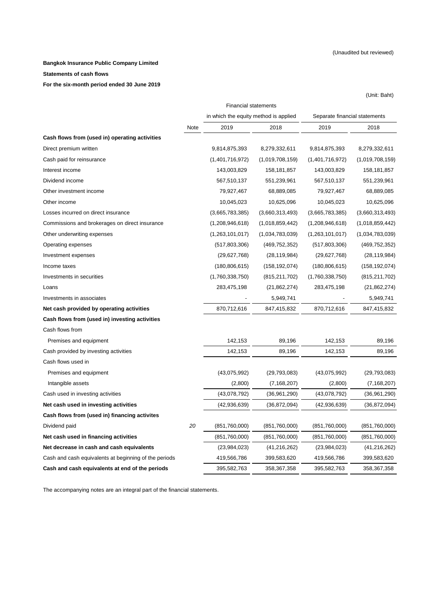(Unit: Baht)

#### **Bangkok Insurance Public Company Limited**

#### **Statements of cash flows**

**For the six-month period ended 30 June 2019** 

|                                                       | <b>Financial statements</b> |                                       |                 |                               |                 |  |
|-------------------------------------------------------|-----------------------------|---------------------------------------|-----------------|-------------------------------|-----------------|--|
|                                                       |                             | in which the equity method is applied |                 | Separate financial statements |                 |  |
|                                                       | Note                        | 2019                                  | 2018            | 2019                          | 2018            |  |
| Cash flows from (used in) operating activities        |                             |                                       |                 |                               |                 |  |
| Direct premium written                                |                             | 9,814,875,393                         | 8,279,332,611   | 9,814,875,393                 | 8,279,332,611   |  |
| Cash paid for reinsurance                             |                             | (1,401,716,972)                       | (1,019,708,159) | (1,401,716,972)               | (1,019,708,159) |  |
| Interest income                                       |                             | 143,003,829                           | 158, 181, 857   | 143,003,829                   | 158, 181, 857   |  |
| Dividend income                                       |                             | 567,510,137                           | 551,239,961     | 567,510,137                   | 551,239,961     |  |
| Other investment income                               |                             | 79,927,467                            | 68,889,085      | 79,927,467                    | 68,889,085      |  |
| Other income                                          |                             | 10,045,023                            | 10,625,096      | 10,045,023                    | 10,625,096      |  |
| Losses incurred on direct insurance                   |                             | (3,665,783,385)                       | (3,660,313,493) | (3,665,783,385)               | (3,660,313,493) |  |
| Commissions and brokerages on direct insurance        |                             | (1,208,946,618)                       | (1,018,859,442) | (1,208,946,618)               | (1,018,859,442) |  |
| Other underwriting expenses                           |                             | (1,263,101,017)                       | (1,034,783,039) | (1,263,101,017)               | (1,034,783,039) |  |
| Operating expenses                                    |                             | (517,803,306)                         | (469, 752, 352) | (517,803,306)                 | (469, 752, 352) |  |
| Investment expenses                                   |                             | (29,627,768)                          | (28, 119, 984)  | (29,627,768)                  | (28, 119, 984)  |  |
| Income taxes                                          |                             | (180, 806, 615)                       | (158, 192, 074) | (180, 806, 615)               | (158, 192, 074) |  |
| Investments in securities                             |                             | (1,760,338,750)                       | (815, 211, 702) | (1,760,338,750)               | (815, 211, 702) |  |
| Loans                                                 |                             | 283,475,198                           | (21, 862, 274)  | 283,475,198                   | (21, 862, 274)  |  |
| Investments in associates                             |                             |                                       | 5,949,741       |                               | 5,949,741       |  |
| Net cash provided by operating activities             |                             | 870,712,616                           | 847,415,832     | 870,712,616                   | 847,415,832     |  |
| Cash flows from (used in) investing activities        |                             |                                       |                 |                               |                 |  |
| Cash flows from                                       |                             |                                       |                 |                               |                 |  |
| Premises and equipment                                |                             | 142,153                               | 89,196          | 142,153                       | 89,196          |  |
| Cash provided by investing activities                 |                             | 142,153                               | 89,196          | 142,153                       | 89,196          |  |
| Cash flows used in                                    |                             |                                       |                 |                               |                 |  |
| Premises and equipment                                |                             | (43,075,992)                          | (29, 793, 083)  | (43,075,992)                  | (29, 793, 083)  |  |
| Intangible assets                                     |                             | (2,800)                               | (7, 168, 207)   | (2,800)                       | (7, 168, 207)   |  |
| Cash used in investing activities                     |                             | (43,078,792)                          | (36,961,290)    | (43,078,792)                  | (36,961,290)    |  |
| Net cash used in investing activities                 |                             | (42, 936, 639)                        | (36, 872, 094)  | (42, 936, 639)                | (36, 872, 094)  |  |
| Cash flows from (used in) financing activites         |                             |                                       |                 |                               |                 |  |
| Dividend paid                                         | 20                          | (851,760,000)                         | (851,760,000)   | (851,760,000)                 | (851,760,000)   |  |
| Net cash used in financing activities                 |                             | (851,760,000)                         | (851,760,000)   | (851,760,000)                 | (851,760,000)   |  |
| Net decrease in cash and cash equivalents             |                             | (23,984,023)                          | (41, 216, 262)  | (23, 984, 023)                | (41, 216, 262)  |  |
| Cash and cash equivalents at beginning of the periods |                             | 419,566,786                           | 399,583,620     | 419,566,786                   | 399,583,620     |  |
| Cash and cash equivalents at end of the periods       |                             | 395,582,763                           | 358,367,358     | 395,582,763                   | 358,367,358     |  |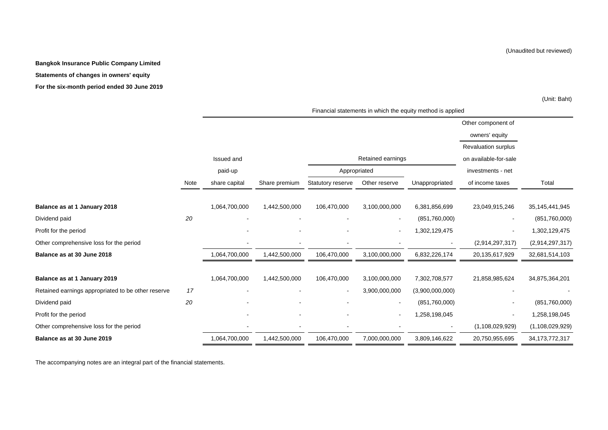#### **Bangkok Insurance Public Company Limited**

#### **Statements of changes in owners' equity**

**For the six-month period ended 30 June 2019**

(Unit: Baht)

| Financial statements in which the equity method is applied |  |
|------------------------------------------------------------|--|
|------------------------------------------------------------|--|

|                                                    |      |               |               |                   |                   |                 | Other component of         |                    |
|----------------------------------------------------|------|---------------|---------------|-------------------|-------------------|-----------------|----------------------------|--------------------|
|                                                    |      |               |               |                   |                   |                 | owners' equity             |                    |
|                                                    |      |               |               |                   |                   |                 | <b>Revaluation surplus</b> |                    |
|                                                    |      | Issued and    |               |                   | Retained earnings |                 | on available-for-sale      |                    |
|                                                    |      | paid-up       |               | Appropriated      |                   |                 | investments - net          |                    |
|                                                    | Note | share capital | Share premium | Statutory reserve | Other reserve     | Unappropriated  | of income taxes            | Total              |
|                                                    |      |               |               |                   |                   |                 |                            |                    |
| Balance as at 1 January 2018                       |      | 1,064,700,000 | 1,442,500,000 | 106,470,000       | 3,100,000,000     | 6,381,856,699   | 23,049,915,246             | 35, 145, 441, 945  |
| Dividend paid                                      | 20   |               |               |                   | $\sim$            | (851,760,000)   | $\sim$                     | (851,760,000)      |
| Profit for the period                              |      |               |               |                   | $\sim$            | 1,302,129,475   | $\sim$                     | 1,302,129,475      |
| Other comprehensive loss for the period            |      |               |               |                   |                   |                 | (2,914,297,317)            | (2,914,297,317)    |
| Balance as at 30 June 2018                         |      | 1,064,700,000 | 1,442,500,000 | 106,470,000       | 3,100,000,000     | 6,832,226,174   | 20,135,617,929             | 32,681,514,103     |
|                                                    |      |               |               |                   |                   |                 |                            |                    |
| Balance as at 1 January 2019                       |      | 1,064,700,000 | 1,442,500,000 | 106,470,000       | 3,100,000,000     | 7,302,708,577   | 21,858,985,624             | 34,875,364,201     |
| Retained earnings appropriated to be other reserve | 17   |               |               | $\blacksquare$    | 3,900,000,000     | (3,900,000,000) |                            |                    |
| Dividend paid                                      | 20   |               |               |                   | $\sim$            | (851,760,000)   | $\blacksquare$             | (851,760,000)      |
| Profit for the period                              |      |               |               | $\blacksquare$    | $\sim$            | 1,258,198,045   | $\sim$                     | 1,258,198,045      |
| Other comprehensive loss for the period            |      |               |               |                   |                   |                 | (1, 108, 029, 929)         | (1, 108, 029, 929) |
| Balance as at 30 June 2019                         |      | 1,064,700,000 | 1,442,500,000 | 106,470,000       | 7,000,000,000     | 3,809,146,622   | 20,750,955,695             | 34, 173, 772, 317  |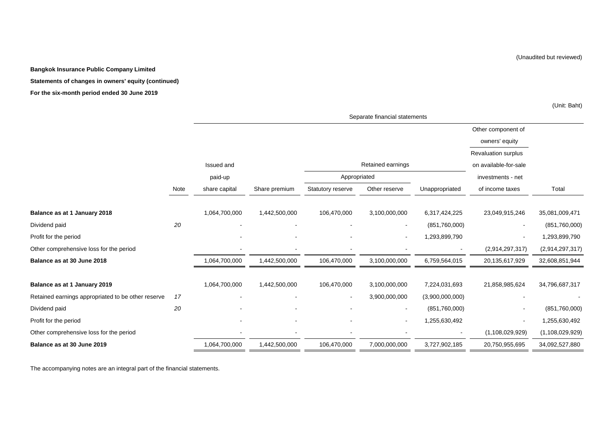#### **Bangkok Insurance Public Company Limited**

**Statements of changes in owners' equity (continued)**

#### **For the six-month period ended 30 June 2019**

(Unit: Baht)

|                                                    |      |                |               |                   | Separate financial statements |                 |                          |                    |
|----------------------------------------------------|------|----------------|---------------|-------------------|-------------------------------|-----------------|--------------------------|--------------------|
|                                                    |      |                |               |                   |                               |                 | Other component of       |                    |
|                                                    |      |                |               |                   |                               |                 | owners' equity           |                    |
|                                                    |      |                |               |                   |                               |                 | Revaluation surplus      |                    |
|                                                    |      | Issued and     |               |                   | Retained earnings             |                 | on available-for-sale    |                    |
|                                                    |      | paid-up        |               | Appropriated      |                               |                 | investments - net        |                    |
|                                                    | Note | share capital  | Share premium | Statutory reserve | Other reserve                 | Unappropriated  | of income taxes          | Total              |
|                                                    |      |                |               |                   |                               |                 |                          |                    |
| Balance as at 1 January 2018                       |      | 1,064,700,000  | 1,442,500,000 | 106,470,000       | 3,100,000,000                 | 6,317,424,225   | 23,049,915,246           | 35,081,009,471     |
| Dividend paid                                      | 20   | $\blacksquare$ |               |                   | $\sim$                        | (851,760,000)   | $\blacksquare$           | (851,760,000)      |
| Profit for the period                              |      |                |               |                   | $\overline{\phantom{a}}$      | 1,293,899,790   | $\overline{\phantom{a}}$ | 1,293,899,790      |
| Other comprehensive loss for the period            |      |                |               |                   |                               |                 | (2,914,297,317)          | (2,914,297,317)    |
| Balance as at 30 June 2018                         |      | 1,064,700,000  | 1,442,500,000 | 106,470,000       | 3,100,000,000                 | 6,759,564,015   | 20,135,617,929           | 32,608,851,944     |
|                                                    |      |                |               |                   |                               |                 |                          |                    |
| Balance as at 1 January 2019                       |      | 1,064,700,000  | 1,442,500,000 | 106,470,000       | 3,100,000,000                 | 7,224,031,693   | 21,858,985,624           | 34,796,687,317     |
| Retained earnings appropriated to be other reserve | 17   |                |               | $\blacksquare$    | 3,900,000,000                 | (3,900,000,000) |                          |                    |
| Dividend paid                                      | 20   |                |               |                   | $\sim$                        | (851,760,000)   | $\overline{\phantom{a}}$ | (851,760,000)      |
| Profit for the period                              |      | $\overline{a}$ |               |                   | $\blacksquare$                | 1,255,630,492   | $\blacksquare$           | 1,255,630,492      |
| Other comprehensive loss for the period            |      |                |               |                   |                               |                 | (1, 108, 029, 929)       | (1, 108, 029, 929) |
| Balance as at 30 June 2019                         |      | 1,064,700,000  | 1,442,500,000 | 106,470,000       | 7,000,000,000                 | 3,727,902,185   | 20,750,955,695           | 34,092,527,880     |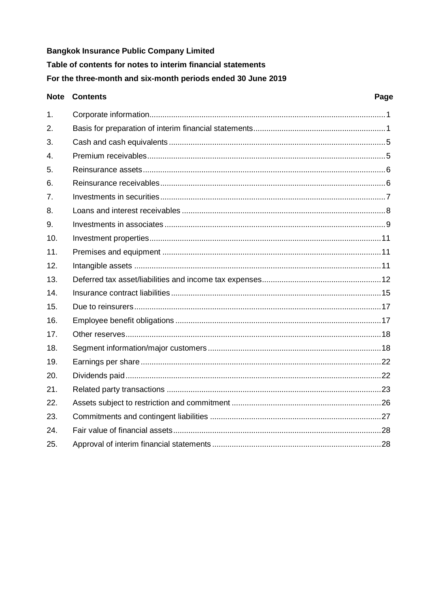# **Bangkok Insurance Public Company Limited** Table of contents for notes to interim financial statements For the three-month and six-month periods ended 30 June 2019

#### **Note Contents** Page  $1<sup>1</sup>$  $\mathcal{P}_{\mathcal{C}}$  $3<sub>l</sub>$  $\overline{4}$ 5 6.  $\overline{7}$  $\mathsf{R}$ 9.  $10<sub>1</sub>$  $11<sub>1</sub>$  $12.$  $13.$  $14$ Insurance contract liabilities www.www.www.www.www.www.www.www.alf  $15.$ 16.  $17<sub>1</sub>$ 18.  $19<sub>1</sub>$  $20.$  $21.$ 22. 23. 24. 25.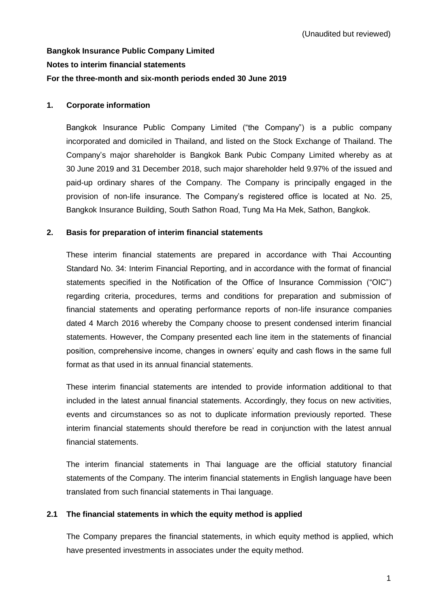# **Bangkok Insurance Public Company Limited Notes to interim financial statements For the three-month and six-month periods ended 30 June 2019**

# <span id="page-10-0"></span>**1. Corporate information**

Bangkok Insurance Public Company Limited ("the Company") is a public company incorporated and domiciled in Thailand, and listed on the Stock Exchange of Thailand. The Company's major shareholder is Bangkok Bank Pubic Company Limited whereby as at 30 June 2019 and 31 December 2018, such major shareholder held 9.97% of the issued and paid-up ordinary shares of the Company. The Company is principally engaged in the provision of non-life insurance. The Company's registered office is located at No. 25, Bangkok Insurance Building, South Sathon Road, Tung Ma Ha Mek, Sathon, Bangkok.

# <span id="page-10-1"></span>**2. Basis for preparation of interim financial statements**

These interim financial statements are prepared in accordance with Thai Accounting Standard No. 34: Interim Financial Reporting, and in accordance with the format of financial statements specified in the Notification of the Office of Insurance Commission ("OIC") regarding criteria, procedures, terms and conditions for preparation and submission of financial statements and operating performance reports of non-life insurance companies dated 4 March 2016 whereby the Company choose to present condensed interim financial statements. However, the Company presented each line item in the statements of financial position, comprehensive income, changes in owners' equity and cash flows in the same full format as that used in its annual financial statements.

These interim financial statements are intended to provide information additional to that included in the latest annual financial statements. Accordingly, they focus on new activities, events and circumstances so as not to duplicate information previously reported. These interim financial statements should therefore be read in conjunction with the latest annual financial statements.

The interim financial statements in Thai language are the official statutory financial statements of the Company. The interim financial statements in English language have been translated from such financial statements in Thai language.

# **2.1 The financial statements in which the equity method is applied**

The Company prepares the financial statements, in which equity method is applied, which have presented investments in associates under the equity method.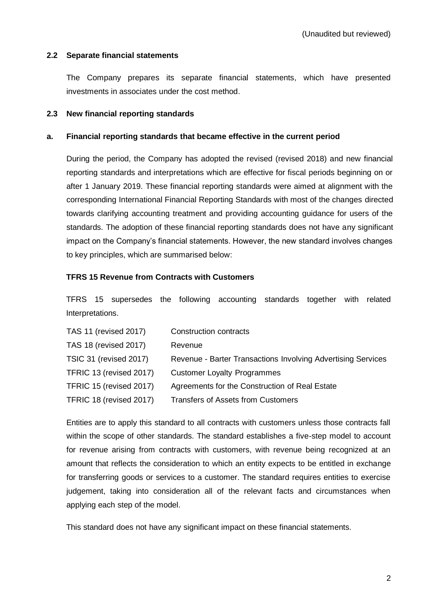# **2.2 Separate financial statements**

The Company prepares its separate financial statements, which have presented investments in associates under the cost method.

# **2.3 New financial reporting standards**

# **a. Financial reporting standards that became effective in the current period**

During the period, the Company has adopted the revised (revised 2018) and new financial reporting standards and interpretations which are effective for fiscal periods beginning on or after 1 January 2019. These financial reporting standards were aimed at alignment with the corresponding International Financial Reporting Standards with most of the changes directed towards clarifying accounting treatment and providing accounting guidance for users of the standards. The adoption of these financial reporting standards does not have any significant impact on the Company's financial statements. However, the new standard involves changes to key principles, which are summarised below:

# **TFRS 15 Revenue from Contracts with Customers**

TFRS 15 supersedes the following accounting standards together with related Interpretations.

| <b>TAS 11 (revised 2017)</b> | Construction contracts                                       |
|------------------------------|--------------------------------------------------------------|
| <b>TAS 18 (revised 2017)</b> | Revenue                                                      |
| TSIC 31 (revised 2017)       | Revenue - Barter Transactions Involving Advertising Services |
| TFRIC 13 (revised 2017)      | <b>Customer Loyalty Programmes</b>                           |
| TFRIC 15 (revised 2017)      | Agreements for the Construction of Real Estate               |
| TFRIC 18 (revised 2017)      | Transfers of Assets from Customers                           |

Entities are to apply this standard to all contracts with customers unless those contracts fall within the scope of other standards. The standard establishes a five-step model to account for revenue arising from contracts with customers, with revenue being recognized at an amount that reflects the consideration to which an entity expects to be entitled in exchange for transferring goods or services to a customer. The standard requires entities to exercise judgement, taking into consideration all of the relevant facts and circumstances when applying each step of the model.

This standard does not have any significant impact on these financial statements.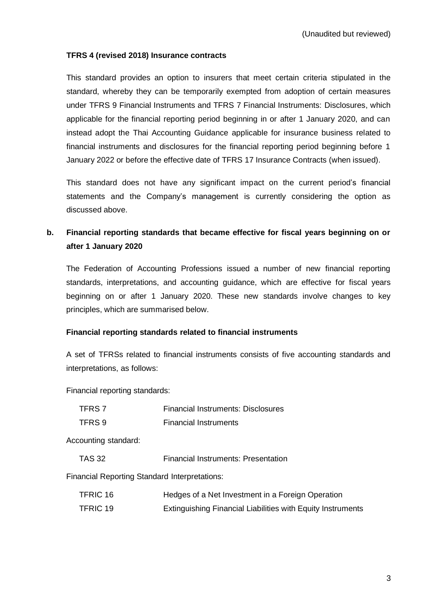# **TFRS 4 (revised 2018) Insurance contracts**

This standard provides an option to insurers that meet certain criteria stipulated in the standard, whereby they can be temporarily exempted from adoption of certain measures under TFRS 9 Financial Instruments and TFRS 7 Financial Instruments: Disclosures, which applicable for the financial reporting period beginning in or after 1 January 2020, and can instead adopt the Thai Accounting Guidance applicable for insurance business related to financial instruments and disclosures for the financial reporting period beginning before 1 January 2022 or before the effective date of TFRS 17 Insurance Contracts (when issued).

This standard does not have any significant impact on the current period's financial statements and the Company's management is currently considering the option as discussed above.

# **b. Financial reporting standards that became effective for fiscal years beginning on or after 1 January 2020**

The Federation of Accounting Professions issued a number of new financial reporting standards, interpretations, and accounting guidance, which are effective for fiscal years beginning on or after 1 January 2020. These new standards involve changes to key principles, which are summarised below.

# **Financial reporting standards related to financial instruments**

A set of TFRSs related to financial instruments consists of five accounting standards and interpretations, as follows:

Financial reporting standards:

| TFRS 7 | <b>Financial Instruments: Disclosures</b> |
|--------|-------------------------------------------|
| TFRS 9 | <b>Financial Instruments</b>              |

Accounting standard:

TAS 32 Financial Instruments: Presentation

Financial Reporting Standard Interpretations:

| TFRIC 16 | Hedges of a Net Investment in a Foreign Operation           |
|----------|-------------------------------------------------------------|
| TFRIC 19 | Extinguishing Financial Liabilities with Equity Instruments |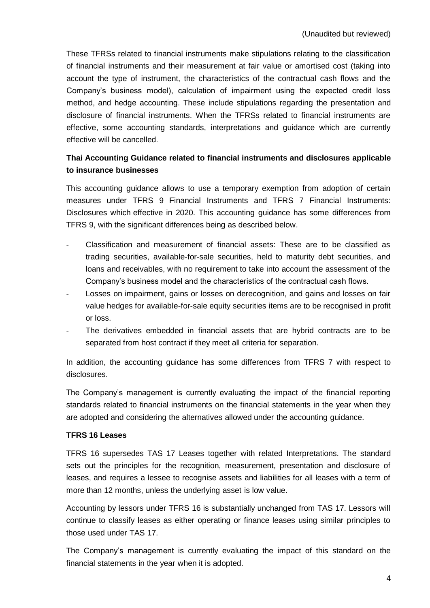These TFRSs related to financial instruments make stipulations relating to the classification of financial instruments and their measurement at fair value or amortised cost (taking into account the type of instrument, the characteristics of the contractual cash flows and the Company's business model), calculation of impairment using the expected credit loss method, and hedge accounting. These include stipulations regarding the presentation and disclosure of financial instruments. When the TFRSs related to financial instruments are effective, some accounting standards, interpretations and guidance which are currently effective will be cancelled.

# **Thai Accounting Guidance related to financial instruments and disclosures applicable to insurance businesses**

This accounting guidance allows to use a temporary exemption from adoption of certain measures under TFRS 9 Financial Instruments and TFRS 7 Financial Instruments: Disclosures which effective in 2020. This accounting guidance has some differences from TFRS 9, with the significant differences being as described below.

- Classification and measurement of financial assets: These are to be classified as trading securities, available-for-sale securities, held to maturity debt securities, and loans and receivables, with no requirement to take into account the assessment of the Company's business model and the characteristics of the contractual cash flows.
- Losses on impairment, gains or losses on derecognition, and gains and losses on fair value hedges for available-for-sale equity securities items are to be recognised in profit or loss.
- The derivatives embedded in financial assets that are hybrid contracts are to be separated from host contract if they meet all criteria for separation.

In addition, the accounting guidance has some differences from TFRS 7 with respect to disclosures.

The Company's management is currently evaluating the impact of the financial reporting standards related to financial instruments on the financial statements in the year when they are adopted and considering the alternatives allowed under the accounting guidance.

# **TFRS 16 Leases**

TFRS 16 supersedes TAS 17 Leases together with related Interpretations. The standard sets out the principles for the recognition, measurement, presentation and disclosure of leases, and requires a lessee to recognise assets and liabilities for all leases with a term of more than 12 months, unless the underlying asset is low value.

Accounting by lessors under TFRS 16 is substantially unchanged from TAS 17. Lessors will continue to classify leases as either operating or finance leases using similar principles to those used under TAS 17.

The Company's management is currently evaluating the impact of this standard on the financial statements in the year when it is adopted.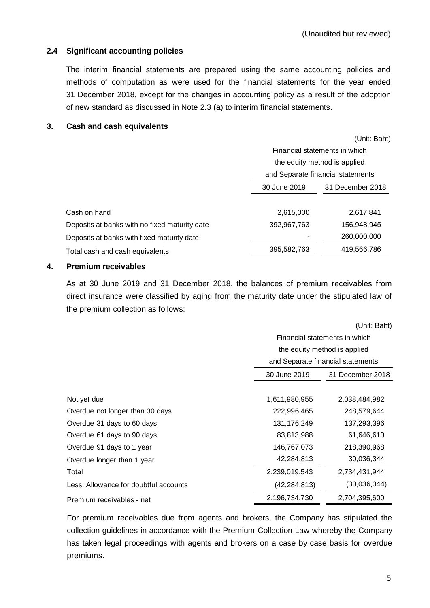# **2.4 Significant accounting policies**

The interim financial statements are prepared using the same accounting policies and methods of computation as were used for the financial statements for the year ended 31 December 2018, except for the changes in accounting policy as a result of the adoption of new standard as discussed in Note 2.3 (a) to interim financial statements.

# <span id="page-14-0"></span>**3. Cash and cash equivalents**

(Unit: Baht)

|                                               |                                  | Financial statements in which     |  |  |
|-----------------------------------------------|----------------------------------|-----------------------------------|--|--|
|                                               |                                  | the equity method is applied      |  |  |
|                                               |                                  | and Separate financial statements |  |  |
|                                               | 30 June 2019<br>31 December 2018 |                                   |  |  |
|                                               |                                  |                                   |  |  |
| Cash on hand                                  | 2,615,000                        | 2,617,841                         |  |  |
| Deposits at banks with no fixed maturity date | 392,967,763                      | 156,948,945                       |  |  |
| Deposits at banks with fixed maturity date    |                                  | 260,000,000                       |  |  |
| Total cash and cash equivalents               | 395,582,763                      | 419,566,786                       |  |  |
|                                               |                                  |                                   |  |  |

# <span id="page-14-1"></span>**4. Premium receivables**

As at 30 June 2019 and 31 December 2018, the balances of premium receivables from direct insurance were classified by aging from the maturity date under the stipulated law of the premium collection as follows:

|                                       | (Unit: Baht)                      |                              |  |  |  |
|---------------------------------------|-----------------------------------|------------------------------|--|--|--|
|                                       | Financial statements in which     |                              |  |  |  |
|                                       |                                   | the equity method is applied |  |  |  |
|                                       | and Separate financial statements |                              |  |  |  |
|                                       | 30 June 2019<br>31 December 2018  |                              |  |  |  |
|                                       |                                   |                              |  |  |  |
| Not yet due                           | 1,611,980,955                     | 2,038,484,982                |  |  |  |
| Overdue not longer than 30 days       | 222,996,465                       | 248,579,644                  |  |  |  |
| Overdue 31 days to 60 days            | 131,176,249                       | 137,293,396                  |  |  |  |
| Overdue 61 days to 90 days            | 83,813,988                        | 61,646,610                   |  |  |  |
| Overdue 91 days to 1 year             | 146,767,073                       | 218,390,968                  |  |  |  |
| Overdue longer than 1 year            | 42,284,813                        | 30,036,344                   |  |  |  |
| Total                                 | 2,239,019,543                     | 2,734,431,944                |  |  |  |
| Less: Allowance for doubtful accounts | (42, 284, 813)                    | (30,036,344)                 |  |  |  |
| Premium receivables - net             | 2,196,734,730                     | 2,704,395,600                |  |  |  |

For premium receivables due from agents and brokers, the Company has stipulated the collection guidelines in accordance with the Premium Collection Law whereby the Company has taken legal proceedings with agents and brokers on a case by case basis for overdue premiums.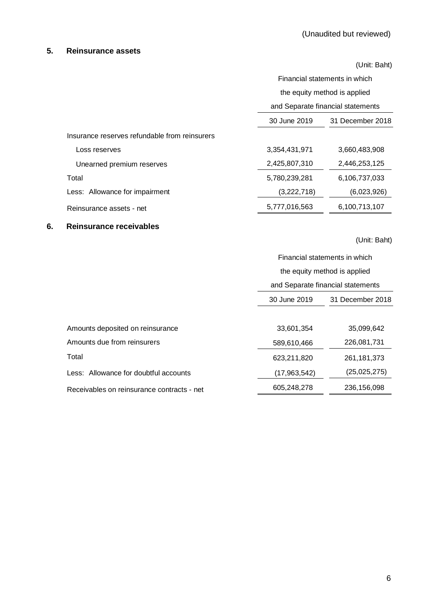# <span id="page-15-0"></span>**5. Reinsurance assets**

|                                               | (Unit: Baht)                      |                               |  |  |
|-----------------------------------------------|-----------------------------------|-------------------------------|--|--|
|                                               |                                   | Financial statements in which |  |  |
|                                               |                                   | the equity method is applied  |  |  |
|                                               | and Separate financial statements |                               |  |  |
|                                               | 30 June 2019<br>31 December 2018  |                               |  |  |
| Insurance reserves refundable from reinsurers |                                   |                               |  |  |
| Loss reserves                                 | 3,354,431,971                     | 3,660,483,908                 |  |  |
| Unearned premium reserves                     | 2,425,807,310                     | 2,446,253,125                 |  |  |
| Total                                         | 5,780,239,281                     | 6,106,737,033                 |  |  |
| Less: Allowance for impairment                | (3,222,718)                       | (6,023,926)                   |  |  |
| Reinsurance assets - net                      | 5,777,016,563                     | 6,100,713,107                 |  |  |

# <span id="page-15-1"></span>**6. Reinsurance receivables**

|                                            | Financial statements in which     |                  |  |  |
|--------------------------------------------|-----------------------------------|------------------|--|--|
|                                            | the equity method is applied      |                  |  |  |
|                                            | and Separate financial statements |                  |  |  |
|                                            | 30 June 2019                      | 31 December 2018 |  |  |
|                                            |                                   |                  |  |  |
| Amounts deposited on reinsurance           | 33,601,354                        | 35,099,642       |  |  |
| Amounts due from reinsurers                | 589,610,466                       | 226,081,731      |  |  |
| Total                                      | 623,211,820                       | 261, 181, 373    |  |  |
| Less: Allowance for doubtful accounts      | (17,963,542)                      | (25,025,275)     |  |  |
| Receivables on reinsurance contracts - net | 605,248,278                       | 236,156,098      |  |  |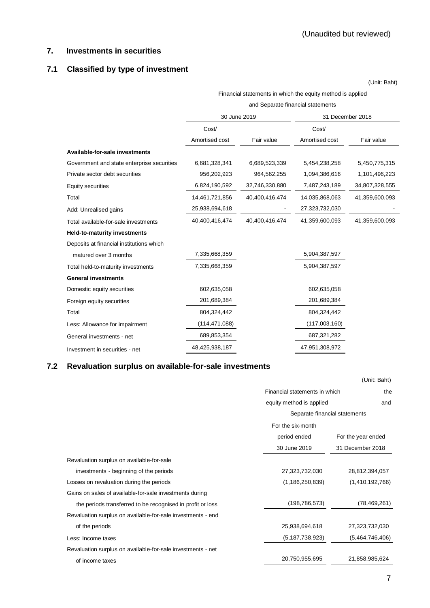# <span id="page-16-0"></span>**7. Investments in securities**

# **7.1 Classified by type of investment**

(Unit: Baht)

Financial statements in which the equity method is applied

#### and Separate financial statements

|                                            | 30 June 2019    |                | 31 December 2018 |                |  |  |
|--------------------------------------------|-----------------|----------------|------------------|----------------|--|--|
|                                            | Cost/           |                | Cost/            |                |  |  |
|                                            | Amortised cost  | Fair value     | Amortised cost   | Fair value     |  |  |
| Available-for-sale investments             |                 |                |                  |                |  |  |
| Government and state enterprise securities | 6,681,328,341   | 6,689,523,339  | 5,454,238,258    | 5,450,775,315  |  |  |
| Private sector debt securities             | 956,202,923     | 964,562,255    | 1,094,386,616    | 1,101,496,223  |  |  |
| Equity securities                          | 6,824,190,592   | 32,746,330,880 | 7,487,243,189    | 34,807,328,555 |  |  |
| Total                                      | 14,461,721,856  | 40,400,416,474 | 14,035,868,063   | 41,359,600,093 |  |  |
| Add: Unrealised gains                      | 25,938,694,618  |                | 27,323,732,030   |                |  |  |
| Total available-for-sale investments       | 40,400,416,474  | 40.400.416.474 | 41,359,600,093   | 41,359,600,093 |  |  |
| <b>Held-to-maturity investments</b>        |                 |                |                  |                |  |  |
| Deposits at financial institutions which   |                 |                |                  |                |  |  |
| matured over 3 months                      | 7,335,668,359   |                | 5,904,387,597    |                |  |  |
| Total held-to-maturity investments         | 7,335,668,359   |                | 5,904,387,597    |                |  |  |
| <b>General investments</b>                 |                 |                |                  |                |  |  |
| Domestic equity securities                 | 602,635,058     |                | 602,635,058      |                |  |  |
| Foreign equity securities                  | 201,689,384     |                | 201,689,384      |                |  |  |
| Total                                      | 804,324,442     |                | 804,324,442      |                |  |  |
| Less: Allowance for impairment             | (114, 471, 088) |                | (117,003,160)    |                |  |  |
| General investments - net                  | 689,853,354     |                | 687,321,282      |                |  |  |
| Investment in securities - net             | 48,425,938,187  |                | 47,951,308,972   |                |  |  |
|                                            |                 |                |                  |                |  |  |

# **7.2 Revaluation surplus on available-for-sale investments**

|                                                             |                               | (Unit: Baht)       |  |
|-------------------------------------------------------------|-------------------------------|--------------------|--|
|                                                             | Financial statements in which |                    |  |
|                                                             | equity method is applied      |                    |  |
|                                                             | Separate financial statements |                    |  |
|                                                             | For the six-month             |                    |  |
|                                                             | period ended                  | For the year ended |  |
|                                                             | 30 June 2019                  | 31 December 2018   |  |
| Revaluation surplus on available-for-sale                   |                               |                    |  |
| investments - beginning of the periods                      | 27,323,732,030                | 28,812,394,057     |  |
| Losses on revaluation during the periods                    | (1, 186, 250, 839)            | (1,410,192,766)    |  |
| Gains on sales of available-for-sale investments during     |                               |                    |  |
| the periods transferred to be recognised in profit or loss  | (198, 786, 573)               | (78, 469, 261)     |  |
| Revaluation surplus on available-for-sale investments - end |                               |                    |  |
| of the periods                                              | 25,938,694,618                | 27,323,732,030     |  |
| Less: Income taxes                                          | (5, 187, 738, 923)            | (5,464,746,406)    |  |
| Revaluation surplus on available-for-sale investments - net |                               |                    |  |
| of income taxes                                             | 20,750,955,695                | 21,858,985,624     |  |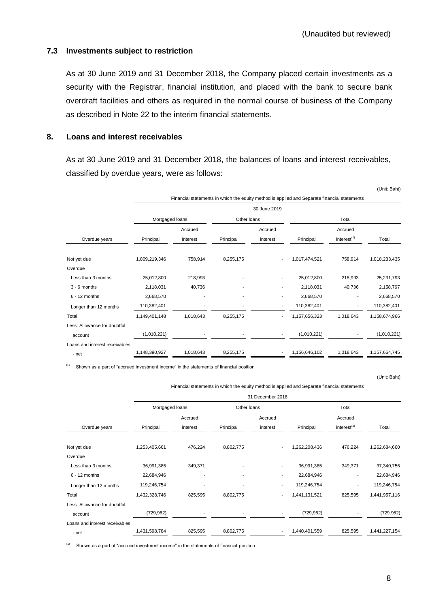## **7.3 Investments subject to restriction**

As at 30 June 2019 and 31 December 2018, the Company placed certain investments as a security with the Registrar, financial institution, and placed with the bank to secure bank overdraft facilities and others as required in the normal course of business of the Company as described in Note 22 to the interim financial statements.

# <span id="page-17-0"></span>**8. Loans and interest receivables**

As at 30 June 2019 and 31 December 2018, the balances of loans and interest receivables, classified by overdue years, were as follows:

|                                |                 |           |             |                          | Financial statements in which the equity method is applied and Separate financial statements |                         |               |  |  |
|--------------------------------|-----------------|-----------|-------------|--------------------------|----------------------------------------------------------------------------------------------|-------------------------|---------------|--|--|
|                                | 30 June 2019    |           |             |                          |                                                                                              |                         |               |  |  |
|                                | Mortgaged loans |           | Other Ioans |                          |                                                                                              | Total                   |               |  |  |
|                                |                 | Accrued   |             | Accrued                  | Accrued                                                                                      |                         |               |  |  |
| Overdue years                  | Principal       | interest  | Principal   | interest                 | Principal                                                                                    | interest <sup>(1)</sup> | Total         |  |  |
| Not yet due                    | 1,009,219,346   | 758,914   | 8,255,175   | ۰.                       | 1,017,474,521                                                                                | 758,914                 | 1,018,233,435 |  |  |
| Overdue                        |                 |           |             |                          |                                                                                              |                         |               |  |  |
| Less than 3 months             | 25,012,800      | 218,993   |             | ٠                        | 25,012,800                                                                                   | 218,993                 | 25,231,793    |  |  |
| $3 - 6$ months                 | 2,118,031       | 40,736    |             |                          | 2,118,031                                                                                    | 40,736                  | 2,158,767     |  |  |
| $6 - 12$ months                | 2,668,570       |           |             |                          | 2,668,570                                                                                    |                         | 2,668,570     |  |  |
| Longer than 12 months          | 110,382,401     |           |             | $\overline{\phantom{a}}$ | 110,382,401                                                                                  |                         | 110,382,401   |  |  |
| Total                          | 1,149,401,148   | 1,018,643 | 8,255,175   | ٠                        | 1,157,656,323                                                                                | 1,018,643               | 1,158,674,966 |  |  |
| Less: Allowance for doubtful   |                 |           |             |                          |                                                                                              |                         |               |  |  |
| account                        | (1,010,221)     |           |             |                          | (1,010,221)                                                                                  |                         | (1,010,221)   |  |  |
| Loans and interest receivables |                 |           |             |                          |                                                                                              |                         |               |  |  |
| - net                          | 1,148,390,927   | 1,018,643 | 8,255,175   |                          | 1,156,646,102                                                                                | 1,018,643               | 1,157,664,745 |  |  |

(1) Shown as a part of "accrued investment income" in the statements of financial position

(Unit: Baht)

(Unit: Baht)

|                                |                  |          |             | .                        |               |                         |               |  |  |
|--------------------------------|------------------|----------|-------------|--------------------------|---------------|-------------------------|---------------|--|--|
|                                | 31 December 2018 |          |             |                          |               |                         |               |  |  |
|                                | Mortgaged loans  |          | Other Ioans |                          |               | Total                   |               |  |  |
|                                |                  | Accrued  |             | Accrued                  |               | Accrued                 |               |  |  |
| Overdue years                  | Principal        | interest | Principal   | interest                 | Principal     | interest <sup>(1)</sup> | Total         |  |  |
| Not yet due                    | 1,253,405,661    | 476,224  | 8,802,775   | $\overline{\phantom{a}}$ | 1,262,208,436 | 476,224                 | 1,262,684,660 |  |  |
| Overdue                        |                  |          |             |                          |               |                         |               |  |  |
| Less than 3 months             | 36,991,385       | 349,371  |             | ۰                        | 36,991,385    | 349,371                 | 37,340,756    |  |  |
| $6 - 12$ months                | 22,684,946       |          |             |                          | 22,684,946    |                         | 22,684,946    |  |  |
| Longer than 12 months          | 119,246,754      |          |             | ٠                        | 119,246,754   |                         | 119,246,754   |  |  |
| Total                          | 1,432,328,746    | 825,595  | 8,802,775   | $\sim$                   | 1,441,131,521 | 825,595                 | 1,441,957,116 |  |  |
| Less: Allowance for doubtful   |                  |          |             |                          |               |                         |               |  |  |
| account                        | (729, 962)       |          |             | ۰.                       | (729, 962)    |                         | (729, 962)    |  |  |
| Loans and interest receivables |                  |          |             |                          |               |                         |               |  |  |
| - net                          | 1,431,598,784    | 825,595  | 8,802,775   | ۰.                       | 1,440,401,559 | 825,595                 | 1,441,227,154 |  |  |

Financial statements in which the equity method is applied and Separate financial statements

(1) Shown as a part of "accrued investment income" in the statements of financial position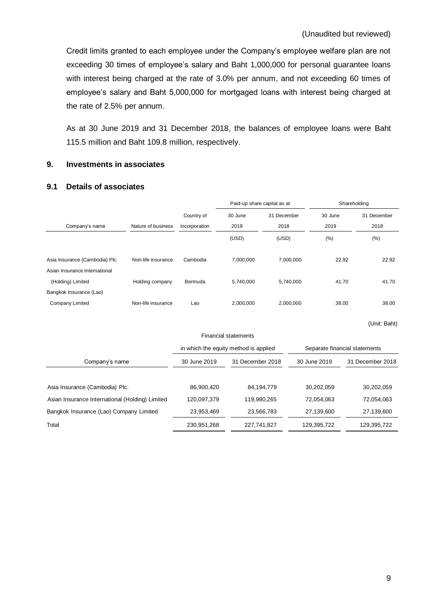Credit limits granted to each employee under the Company's employee welfare plan are not exceeding 30 times of employee's salary and Baht 1,000,000 for personal guarantee loans with interest being charged at the rate of 3.0% per annum, and not exceeding 60 times of employee's salary and Baht 5,000,000 for mortgaged loans with interest being charged at the rate of 2.5% per annum.

As at 30 June 2019 and 31 December 2018, the balances of employee loans were Baht 115.5 million and Baht 109.8 million, respectively.

# <span id="page-18-0"></span>**9. Investments in associates**

# **9.1 Details of associates**

|                                                 |                    |                                       | Paid-up share capital as at |             |              | Shareholding                  |  |
|-------------------------------------------------|--------------------|---------------------------------------|-----------------------------|-------------|--------------|-------------------------------|--|
|                                                 |                    | Country of                            | 30 June                     | 31 December | 30 June      | 31 December                   |  |
| Company's name                                  | Nature of business | incorporation                         | 2019                        | 2018        | 2019         | 2018                          |  |
|                                                 |                    |                                       | (USD)                       | (USD)       | (%)          | (%)                           |  |
| Asia Insurance (Cambodia) Plc.                  | Non-life insurance | Cambodia                              | 7,000,000                   |             | 7,000,000    | 22.92<br>22.92                |  |
| Asian Insurance International                   |                    |                                       |                             |             |              |                               |  |
| (Holding) Limited                               | Holding company    | Bermuda                               | 5,740,000                   |             | 5,740,000    | 41.70<br>41.70                |  |
| Bangkok Insurance (Lao)                         |                    |                                       |                             |             |              |                               |  |
| Company Limited                                 | Non-life insurance | Lao                                   | 2,000,000                   |             | 2,000,000    | 38.00<br>38.00                |  |
|                                                 |                    |                                       | <b>Financial statements</b> |             |              | (Unit: Baht)                  |  |
|                                                 |                    | in which the equity method is applied |                             |             |              | Separate financial statements |  |
|                                                 |                    |                                       |                             |             |              |                               |  |
| Company's name                                  |                    | 30 June 2019                          | 31 December 2018            |             | 30 June 2019 | 31 December 2018              |  |
|                                                 |                    |                                       |                             |             |              |                               |  |
| Asia Insurance (Cambodia) Plc.                  |                    | 86,900,420                            | 84,194,779                  |             | 30,202,059   | 30,202,059                    |  |
| Asian Insurance International (Holding) Limited |                    | 120,097,379                           | 119,980,265                 |             | 72,054,063   | 72,054,063                    |  |
| Bangkok Insurance (Lao) Company Limited         |                    | 23,953,469                            |                             | 23,566,783  | 27,139,600   | 27,139,600                    |  |
| Total                                           |                    | 230,951,268                           | 227,741,827                 |             | 129,395,722  | 129,395,722                   |  |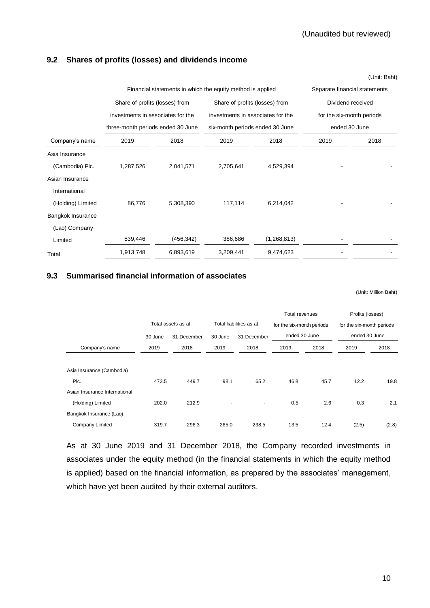# **9.2 Shares of profits (losses) and dividends income**

|                   |                                   | Financial statements in which the equity method is applied | Separate financial statements     |                                                  |                           |      |  |
|-------------------|-----------------------------------|------------------------------------------------------------|-----------------------------------|--------------------------------------------------|---------------------------|------|--|
|                   | Share of profits (losses) from    |                                                            | Share of profits (losses) from    |                                                  | Dividend received         |      |  |
|                   | investments in associates for the |                                                            | investments in associates for the |                                                  | for the six-month periods |      |  |
|                   | three-month periods ended 30 June |                                                            |                                   | ended 30 June<br>six-month periods ended 30 June |                           |      |  |
| Company's name    | 2019                              | 2018                                                       | 2019                              | 2018                                             | 2019                      | 2018 |  |
| Asia Insurance    |                                   |                                                            |                                   |                                                  |                           |      |  |
| (Cambodia) Plc.   | 1,287,526                         | 2,041,571                                                  | 2,705,641                         | 4,529,394                                        |                           |      |  |
| Asian Insurance   |                                   |                                                            |                                   |                                                  |                           |      |  |
| International     |                                   |                                                            |                                   |                                                  |                           |      |  |
| (Holding) Limited | 86,776                            | 5,308,390                                                  | 117,114                           | 6,214,042                                        |                           |      |  |
| Bangkok Insurance |                                   |                                                            |                                   |                                                  |                           |      |  |
| (Lao) Company     |                                   |                                                            |                                   |                                                  |                           |      |  |
| Limited           | 539,446                           | (456, 342)                                                 | 386,686                           | (1,268,813)                                      |                           |      |  |
| Total             | 1,913,748                         | 6,893,619                                                  | 3,209,441                         | 9,474,623                                        |                           |      |  |

# **9.3 Summarised financial information of associates**

(Unit: Million Baht)

|                               |                        |                    |                        |                         | Total revenues |                           | Profits (losses) |                           |  |
|-------------------------------|------------------------|--------------------|------------------------|-------------------------|----------------|---------------------------|------------------|---------------------------|--|
|                               |                        | Total assets as at |                        | Total liabilities as at |                | for the six-month periods |                  | for the six-month periods |  |
|                               | 31 December<br>30 June |                    | 30 June<br>31 December |                         | ended 30 June  |                           | ended 30 June    |                           |  |
| Company's name                | 2019                   | 2018               | 2019                   | 2018                    | 2019           | 2018                      | 2019             | 2018                      |  |
| Asia Insurance (Cambodia)     |                        |                    |                        |                         |                |                           |                  |                           |  |
| Plc.                          | 473.5                  | 449.7              | 98.1                   | 65.2                    | 46.8           | 45.7                      | 12.2             | 19.8                      |  |
| Asian Insurance International |                        |                    |                        |                         |                |                           |                  |                           |  |
| (Holding) Limited             | 202.0                  | 212.9              |                        |                         | 0.5            | 2.6                       | 0.3              | 2.1                       |  |
| Bangkok Insurance (Lao)       |                        |                    |                        |                         |                |                           |                  |                           |  |
| Company Limited               | 319.7                  | 296.3              | 265.0                  | 238.5                   | 13.5           | 12.4                      | (2.5)            | (2.8)                     |  |

As at 30 June 2019 and 31 December 2018, the Company recorded investments in associates under the equity method (in the financial statements in which the equity method is applied) based on the financial information, as prepared by the associates' management, which have yet been audited by their external auditors.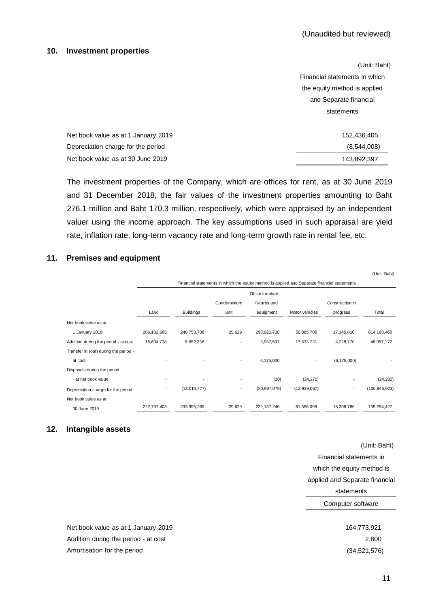#### <span id="page-20-0"></span>**10. Investment properties**

|                                     | (Unit: Baht)                  |
|-------------------------------------|-------------------------------|
|                                     | Financial statements in which |
|                                     | the equity method is applied  |
|                                     | and Separate financial        |
|                                     | statements                    |
|                                     |                               |
| Net book value as at 1 January 2019 | 152,436,405                   |
| Depreciation charge for the period  | (8,544,008)                   |
| Net book value as at 30 June 2019   | 143,892,397                   |

The investment properties of the Company, which are offices for rent, as at 30 June 2019 and 31 December 2018, the fair values of the investment properties amounting to Baht 276.1 million and Baht 170.3 million, respectively, which were appraised by an independent valuer using the income approach. The key assumptions used in such appraisal are yield rate, inflation rate, long-term vacancy rate and long-term growth rate in rental fee, etc.

#### <span id="page-20-1"></span>**11. Premises and equipment**

|                                       |                                                                                              |                  |                          |                |                |                 | (Unit: Baht)    |  |  |
|---------------------------------------|----------------------------------------------------------------------------------------------|------------------|--------------------------|----------------|----------------|-----------------|-----------------|--|--|
|                                       | Financial statements in which the equity method is applied and Separate financial statements |                  |                          |                |                |                 |                 |  |  |
|                                       | Office furniture,                                                                            |                  |                          |                |                |                 |                 |  |  |
|                                       |                                                                                              |                  | Condominium              | fixtures and   |                | Construction in |                 |  |  |
|                                       | Land                                                                                         | <b>Buildings</b> | unit                     | equipment      | Motor vehicles | progress        | Total           |  |  |
| Net book value as at                  |                                                                                              |                  |                          |                |                |                 |                 |  |  |
| 1 January 2019                        | 206, 132, 665                                                                                | 240,753,706      | 29,629                   | 293,021,738    | 56,885,706     | 17,345,016      | 814, 168, 460   |  |  |
| Addition during the period - at cost  | 16,604,738                                                                                   | 5,652,336        | ۰                        | 3,937,597      | 17,633,731     | 4,228,770       | 48,057,172      |  |  |
| Transfer in (out) during the period - |                                                                                              |                  |                          |                |                |                 |                 |  |  |
| at cost                               |                                                                                              |                  | $\overline{\phantom{a}}$ | 6,175,000      |                | (6, 175, 000)   |                 |  |  |
| Disposals during the period           |                                                                                              |                  |                          |                |                |                 |                 |  |  |
| - at net book value                   |                                                                                              |                  |                          | (10)           | (24, 272)      |                 | (24, 282)       |  |  |
| Depreciation charge for the period    | $\overline{\phantom{a}}$                                                                     | (13,010,777)     | $\overline{\phantom{a}}$ | (80, 997, 079) | (12,939,067)   | ۰               | (106, 946, 923) |  |  |
| Net book value as at                  |                                                                                              |                  |                          |                |                |                 |                 |  |  |
| 30 June 2019                          | 222,737,403                                                                                  | 233,395,265      | 29,629                   | 222, 137, 246  | 61,556,098     | 15,398,786      | 755,254,427     |  |  |

#### <span id="page-20-2"></span>**12. Intangible assets**

(Unit: Baht) Financial statements in which the equity method is applied and Separate financial statements Computer software

Net book value as at 1 January 2019 164,773,921 Addition during the period - at cost 2,800 Amortisation for the period (34,521,576)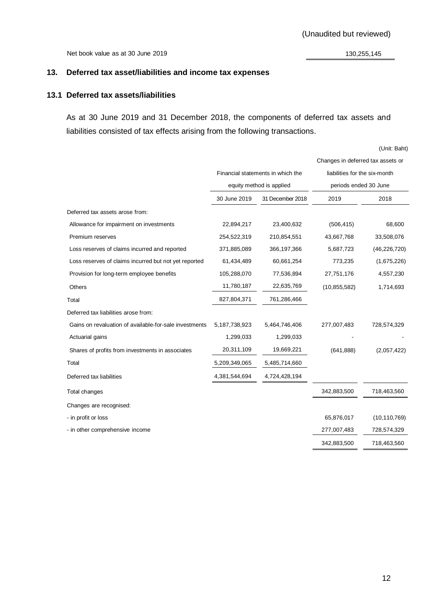Net book value as at 30 June 2019 130,255,145

# <span id="page-21-0"></span>**13. Deferred tax asset/liabilities and income tax expenses**

# **13.1 Deferred tax assets/liabilities**

As at 30 June 2019 and 31 December 2018, the components of deferred tax assets and liabilities consisted of tax effects arising from the following transactions.

|                                                        |               |                                   | Changes in deferred tax assets or |                |
|--------------------------------------------------------|---------------|-----------------------------------|-----------------------------------|----------------|
|                                                        |               | Financial statements in which the | liabilities for the six-month     |                |
|                                                        |               | equity method is applied          | periods ended 30 June             |                |
|                                                        | 30 June 2019  | 31 December 2018                  | 2019                              | 2018           |
| Deferred tax assets arose from:                        |               |                                   |                                   |                |
| Allowance for impairment on investments                | 22,894,217    | 23,400,632                        | (506, 415)                        | 68,600         |
| Premium reserves                                       | 254,522,319   | 210,854,551                       | 43,667,768                        | 33,508,076     |
| Loss reserves of claims incurred and reported          | 371,885,089   | 366, 197, 366                     | 5,687,723                         | (46, 226, 720) |
| Loss reserves of claims incurred but not yet reported  | 61,434,489    | 60,661,254                        | 773,235                           | (1,675,226)    |
| Provision for long-term employee benefits              | 105,288,070   | 77,536,894                        | 27,751,176                        | 4,557,230      |
| Others                                                 | 11,780,187    | 22,635,769                        | (10, 855, 582)                    | 1,714,693      |
| Total                                                  | 827,804,371   | 761,286,466                       |                                   |                |
| Deferred tax liabilities arose from:                   |               |                                   |                                   |                |
| Gains on revaluation of available-for-sale investments | 5,187,738,923 | 5,464,746,406                     | 277,007,483                       | 728,574,329    |
| Actuarial gains                                        | 1,299,033     | 1,299,033                         |                                   |                |
| Shares of profits from investments in associates       | 20,311,109    | 19,669,221                        | (641, 888)                        | (2,057,422)    |
| Total                                                  | 5,209,349,065 | 5,485,714,660                     |                                   |                |
| Deferred tax liabilities                               | 4,381,544,694 | 4,724,428,194                     |                                   |                |
| Total changes                                          |               |                                   | 342,883,500                       | 718,463,560    |
| Changes are recognised:                                |               |                                   |                                   |                |
| - in profit or loss                                    |               |                                   | 65,876,017                        | (10, 110, 769) |
| - in other comprehensive income                        |               |                                   | 277,007,483                       | 728,574,329    |
|                                                        |               |                                   | 342,883,500                       | 718,463,560    |
|                                                        |               |                                   |                                   |                |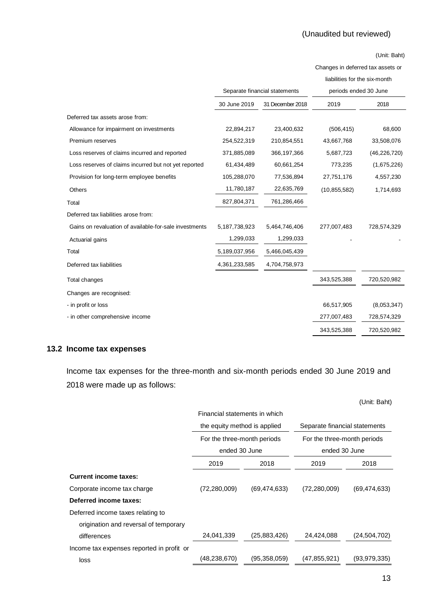Changes in deferred tax assets or

liabilities for the six-month

|                                                        | Separate financial statements |                  | periods ended 30 June |                |
|--------------------------------------------------------|-------------------------------|------------------|-----------------------|----------------|
|                                                        | 30 June 2019                  | 31 December 2018 | 2019                  | 2018           |
| Deferred tax assets arose from:                        |                               |                  |                       |                |
| Allowance for impairment on investments                | 22,894,217                    | 23,400,632       | (506, 415)            | 68,600         |
| Premium reserves                                       | 254,522,319                   | 210,854,551      | 43,667,768            | 33,508,076     |
| Loss reserves of claims incurred and reported          | 371,885,089                   | 366,197,366      | 5,687,723             | (46, 226, 720) |
| Loss reserves of claims incurred but not yet reported  | 61,434,489                    | 60,661,254       | 773,235               | (1,675,226)    |
| Provision for long-term employee benefits              | 105,288,070                   | 77,536,894       | 27,751,176            | 4,557,230      |
| Others                                                 | 11,780,187                    | 22,635,769       | (10, 855, 582)        | 1,714,693      |
| Total                                                  | 827,804,371                   | 761,286,466      |                       |                |
| Deferred tax liabilities arose from:                   |                               |                  |                       |                |
| Gains on revaluation of available-for-sale investments | 5,187,738,923                 | 5,464,746,406    | 277,007,483           | 728,574,329    |
| Actuarial gains                                        | 1,299,033                     | 1,299,033        |                       |                |
| Total                                                  | 5,189,037,956                 | 5,466,045,439    |                       |                |
| Deferred tax liabilities                               | 4,361,233,585                 | 4,704,758,973    |                       |                |
| Total changes                                          |                               |                  | 343,525,388           | 720,520,982    |
| Changes are recognised:                                |                               |                  |                       |                |
| - in profit or loss                                    |                               |                  | 66,517,905            | (8,053,347)    |
| - in other comprehensive income                        |                               |                  | 277,007,483           | 728,574,329    |
|                                                        |                               |                  | 343,525,388           | 720,520,982    |

# **13.2 Income tax expenses**

Income tax expenses for the three-month and six-month periods ended 30 June 2019 and 2018 were made up as follows:

|                                           |                               |                |                               | (Unit: Baht)   |
|-------------------------------------------|-------------------------------|----------------|-------------------------------|----------------|
|                                           | Financial statements in which |                |                               |                |
|                                           | the equity method is applied  |                | Separate financial statements |                |
|                                           | For the three-month periods   |                | For the three-month periods   |                |
|                                           | ended 30 June                 |                | ended 30 June                 |                |
|                                           | 2019                          | 2018           | 2019                          | 2018           |
| <b>Current income taxes:</b>              |                               |                |                               |                |
| Corporate income tax charge               | (72, 280, 009)                | (69, 474, 633) | (72, 280, 009)                | (69, 474, 633) |
| Deferred income taxes:                    |                               |                |                               |                |
| Deferred income taxes relating to         |                               |                |                               |                |
| origination and reversal of temporary     |                               |                |                               |                |
| differences                               | 24,041,339                    | (25,883,426)   | 24,424,088                    | (24.504, 702)  |
| Income tax expenses reported in profit or |                               |                |                               |                |
| loss                                      | (48,238,670)                  | (95, 358, 059) | (47, 855, 921)                | (93.979.335)   |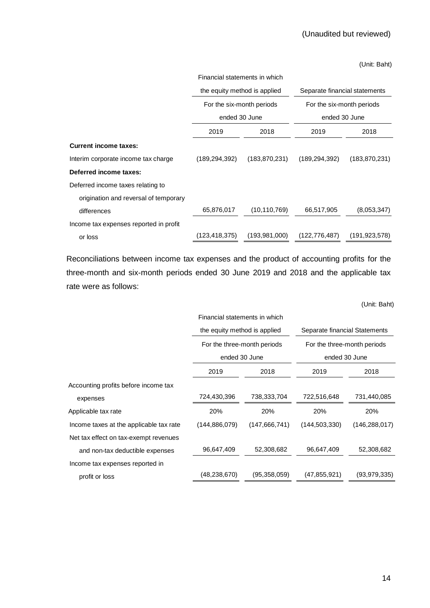|                                        | Financial statements in which                             |                 |                           |                               |  |
|----------------------------------------|-----------------------------------------------------------|-----------------|---------------------------|-------------------------------|--|
|                                        | the equity method is applied<br>For the six-month periods |                 |                           | Separate financial statements |  |
|                                        |                                                           |                 | For the six-month periods |                               |  |
|                                        | ended 30 June                                             |                 | ended 30 June             |                               |  |
|                                        | 2019                                                      | 2018            | 2019                      | 2018                          |  |
| <b>Current income taxes:</b>           |                                                           |                 |                           |                               |  |
| Interim corporate income tax charge    | (189, 294, 392)                                           | (183, 870, 231) | (189, 294, 392)           | (183, 870, 231)               |  |
| Deferred income taxes:                 |                                                           |                 |                           |                               |  |
| Deferred income taxes relating to      |                                                           |                 |                           |                               |  |
| origination and reversal of temporary  |                                                           |                 |                           |                               |  |
| differences                            | 65,876,017                                                | (10, 110, 769)  | 66,517,905                | (8,053,347)                   |  |
| Income tax expenses reported in profit |                                                           |                 |                           |                               |  |
| or loss                                | (123,418,375)                                             | (193.981.000)   | (122, 776, 487)           | (191, 923, 578)               |  |

Reconciliations between income tax expenses and the product of accounting profits for the three-month and six-month periods ended 30 June 2019 and 2018 and the applicable tax rate were as follows:

|                                         | Financial statements in which |                              |                             |                               |  |
|-----------------------------------------|-------------------------------|------------------------------|-----------------------------|-------------------------------|--|
|                                         |                               | the equity method is applied |                             | Separate financial Statements |  |
|                                         | For the three-month periods   |                              | For the three-month periods |                               |  |
|                                         | ended 30 June                 |                              | ended 30 June               |                               |  |
|                                         | 2019                          | 2018                         | 2019                        | 2018                          |  |
| Accounting profits before income tax    |                               |                              |                             |                               |  |
| expenses                                | 724,430,396                   | 738,333,704                  | 722,516,648                 | 731,440,085                   |  |
| Applicable tax rate                     | 20%                           | 20%                          | 20%                         | 20%                           |  |
| Income taxes at the applicable tax rate | (144, 886, 079)               | (147, 666, 741)              | (144, 503, 330)             | (146, 288, 017)               |  |
| Net tax effect on tax-exempt revenues   |                               |                              |                             |                               |  |
| and non-tax deductible expenses         | 96,647,409                    | 52,308,682                   | 96,647,409                  | 52,308,682                    |  |
| Income tax expenses reported in         |                               |                              |                             |                               |  |
| profit or loss                          | (48, 238, 670)                | (95, 358, 059)               | (47, 855, 921)              | (93, 979, 335)                |  |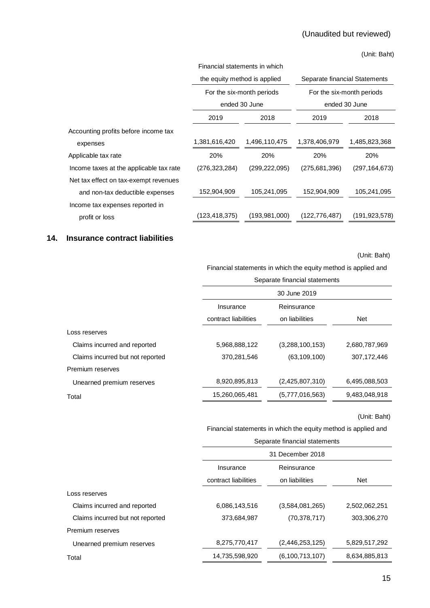|                                         | Financial statements in which                          |                 |                               |                 |
|-----------------------------------------|--------------------------------------------------------|-----------------|-------------------------------|-----------------|
|                                         | the equity method is applied                           |                 | Separate financial Statements |                 |
|                                         | For the six-month periods<br>For the six-month periods |                 |                               |                 |
|                                         |                                                        | ended 30 June   |                               | ended 30 June   |
|                                         | 2019                                                   | 2018            | 2019                          | 2018            |
| Accounting profits before income tax    |                                                        |                 |                               |                 |
| expenses                                | 1,381,616,420                                          | 1,496,110,475   | 1,378,406,979                 | 1,485,823,368   |
| Applicable tax rate                     | 20%                                                    | 20%             | <b>20%</b>                    | <b>20%</b>      |
| Income taxes at the applicable tax rate | (276,323,284)                                          | (299,222,095)   | (275,681,396)                 | (297, 164, 673) |
| Net tax effect on tax-exempt revenues   |                                                        |                 |                               |                 |
| and non-tax deductible expenses         | 152,904,909                                            | 105,241,095     | 152,904,909                   | 105,241,095     |
| Income tax expenses reported in         |                                                        |                 |                               |                 |
| profit or loss                          | (123, 418, 375)                                        | (193, 981, 000) | (122,776,487)                 | (191.923.578)   |

# <span id="page-24-0"></span>**14. Insurance contract liabilities**

(Unit: Baht)

Financial statements in which the equity method is applied and

|                                  |                      | Separate financial statements |               |  |  |  |  |
|----------------------------------|----------------------|-------------------------------|---------------|--|--|--|--|
|                                  |                      | 30 June 2019                  |               |  |  |  |  |
|                                  | Insurance            | Reinsurance                   |               |  |  |  |  |
|                                  | contract liabilities | on liabilities                | <b>Net</b>    |  |  |  |  |
| Loss reserves                    |                      |                               |               |  |  |  |  |
| Claims incurred and reported     | 5,968,888,122        | (3,288,100,153)               | 2,680,787,969 |  |  |  |  |
| Claims incurred but not reported | 370,281,546          | (63, 109, 100)                | 307,172,446   |  |  |  |  |
| Premium reserves                 |                      |                               |               |  |  |  |  |
| Unearned premium reserves        | 8,920,895,813        | (2,425,807,310)               | 6,495,088,503 |  |  |  |  |
| Total                            | 15,260,065,481       | (5,777,016,563)               | 9,483,048,918 |  |  |  |  |
|                                  |                      |                               |               |  |  |  |  |

(Unit: Baht)

Financial statements in which the equity method is applied and

|                                  | Separate financial statements |                    |               |  |  |
|----------------------------------|-------------------------------|--------------------|---------------|--|--|
|                                  | 31 December 2018              |                    |               |  |  |
|                                  | Insurance                     | Reinsurance        |               |  |  |
|                                  | contract liabilities          | on liabilities     | <b>Net</b>    |  |  |
| Loss reserves                    |                               |                    |               |  |  |
| Claims incurred and reported     | 6,086,143,516                 | (3,584,081,265)    | 2,502,062,251 |  |  |
| Claims incurred but not reported | 373,684,987                   | (70, 378, 717)     | 303,306,270   |  |  |
| Premium reserves                 |                               |                    |               |  |  |
| Unearned premium reserves        | 8,275,770,417                 | (2,446,253,125)    | 5,829,517,292 |  |  |
| Total                            | 14,735,598,920                | (6, 100, 713, 107) | 8,634,885,813 |  |  |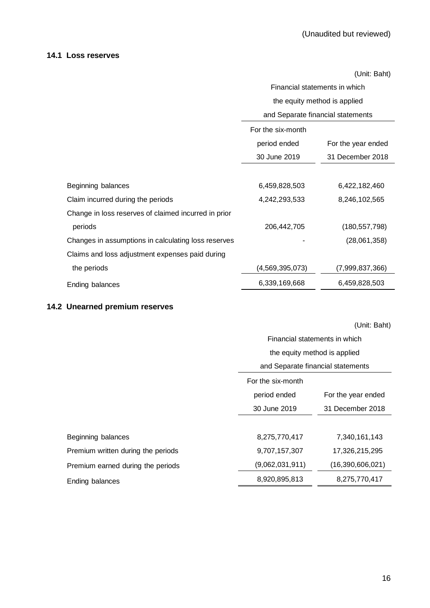# **14.1 Loss reserves**

(Unit: Baht)

|                                                      | Financial statements in which     |                    |  |  |
|------------------------------------------------------|-----------------------------------|--------------------|--|--|
|                                                      | the equity method is applied      |                    |  |  |
|                                                      | and Separate financial statements |                    |  |  |
|                                                      | For the six-month                 |                    |  |  |
|                                                      | period ended                      | For the year ended |  |  |
|                                                      | 30 June 2019                      | 31 December 2018   |  |  |
|                                                      |                                   |                    |  |  |
| Beginning balances                                   | 6,459,828,503                     | 6,422,182,460      |  |  |
| Claim incurred during the periods                    | 4,242,293,533                     | 8,246,102,565      |  |  |
| Change in loss reserves of claimed incurred in prior |                                   |                    |  |  |
| periods                                              | 206,442,705                       | (180, 557, 798)    |  |  |
| Changes in assumptions in calculating loss reserves  |                                   | (28,061,358)       |  |  |
| Claims and loss adjustment expenses paid during      |                                   |                    |  |  |
| the periods                                          | (4,569,395,073)                   | (7,999,837,366)    |  |  |
| Ending balances                                      | 6,339,169,668                     | 6,459,828,503      |  |  |

# **14.2 Unearned premium reserves**

|                                    | Financial statements in which<br>the equity method is applied |                    |  |
|------------------------------------|---------------------------------------------------------------|--------------------|--|
|                                    | and Separate financial statements                             |                    |  |
|                                    | For the six-month                                             |                    |  |
|                                    | period ended                                                  | For the year ended |  |
|                                    | 30 June 2019                                                  | 31 December 2018   |  |
|                                    |                                                               |                    |  |
| Beginning balances                 | 8,275,770,417                                                 | 7,340,161,143      |  |
| Premium written during the periods | 9,707,157,307                                                 | 17,326,215,295     |  |
| Premium earned during the periods  | (9,062,031,911)                                               | (16,390,606,021)   |  |
| Ending balances                    | 8,920,895,813                                                 | 8,275,770,417      |  |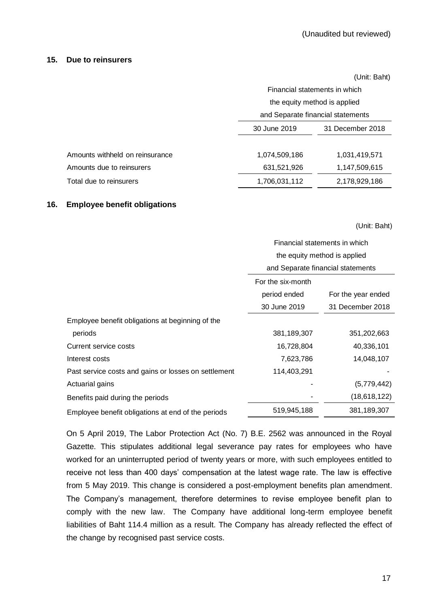# <span id="page-26-0"></span>**15. Due to reinsurers**

|                                 |                                   | (Unit: Baht)  |  |
|---------------------------------|-----------------------------------|---------------|--|
|                                 | Financial statements in which     |               |  |
|                                 | the equity method is applied      |               |  |
|                                 | and Separate financial statements |               |  |
|                                 | 30 June 2019<br>31 December 2018  |               |  |
|                                 |                                   |               |  |
| Amounts withheld on reinsurance | 1,074,509,186                     | 1,031,419,571 |  |
| Amounts due to reinsurers       | 631,521,926                       | 1,147,509,615 |  |
| Total due to reinsurers         | 1,706,031,112                     | 2,178,929,186 |  |

# <span id="page-26-1"></span>**16. Employee benefit obligations**

(Unit: Baht)

|                                                      | Financial statements in which     |                    |  |
|------------------------------------------------------|-----------------------------------|--------------------|--|
|                                                      | the equity method is applied      |                    |  |
|                                                      | and Separate financial statements |                    |  |
|                                                      | For the six-month                 |                    |  |
|                                                      | period ended                      | For the year ended |  |
|                                                      | 30 June 2019                      | 31 December 2018   |  |
| Employee benefit obligations at beginning of the     |                                   |                    |  |
| periods                                              | 381,189,307                       | 351,202,663        |  |
| Current service costs                                | 16,728,804                        | 40,336,101         |  |
| Interest costs                                       | 7,623,786                         | 14,048,107         |  |
| Past service costs and gains or losses on settlement | 114,403,291                       |                    |  |
| Actuarial gains                                      |                                   | (5,779,442)        |  |
| Benefits paid during the periods                     |                                   | (18,618,122)       |  |
| Employee benefit obligations at end of the periods   | 519,945,188                       | 381,189,307        |  |

On 5 April 2019, The Labor Protection Act (No. 7) B.E. 2562 was announced in the Royal Gazette. This stipulates additional legal severance pay rates for employees who have worked for an uninterrupted period of twenty years or more, with such employees entitled to receive not less than 400 days' compensation at the latest wage rate. The law is effective from 5 May 2019. This change is considered a post-employment benefits plan amendment. The Company's management, therefore determines to revise employee benefit plan to comply with the new law. The Company have additional long-term employee benefit liabilities of Baht 114.4 million as a result. The Company has already reflected the effect of the change by recognised past service costs.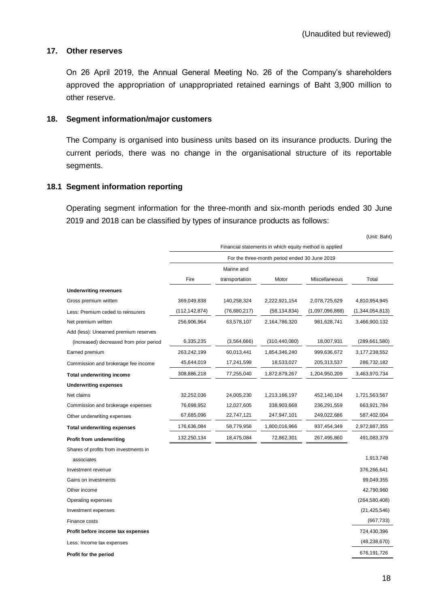## <span id="page-27-0"></span>**17. Other reserves**

On 26 April 2019, the Annual General Meeting No. 26 of the Company's shareholders approved the appropriation of unappropriated retained earnings of Baht 3,900 million to other reserve.

## <span id="page-27-1"></span>**18. Segment information/major customers**

The Company is organised into business units based on its insurance products. During the current periods, there was no change in the organisational structure of its reportable segments.

# **18.1 Segment information reporting**

Operating segment information for the three-month and six-month periods ended 30 June 2019 and 2018 can be classified by types of insurance products as follows:

|                                         |                                                        |                                               |                 |                 | (Unit: Baht)     |  |  |
|-----------------------------------------|--------------------------------------------------------|-----------------------------------------------|-----------------|-----------------|------------------|--|--|
|                                         | Financial statements in which equity method is applied |                                               |                 |                 |                  |  |  |
|                                         |                                                        | For the three-month period ended 30 June 2019 |                 |                 |                  |  |  |
|                                         |                                                        | Marine and                                    |                 |                 |                  |  |  |
|                                         | Fire                                                   | transportation                                | Motor           | Miscellaneous   | Total            |  |  |
| <b>Underwriting revenues</b>            |                                                        |                                               |                 |                 |                  |  |  |
| Gross premium written                   | 369,049,838                                            | 140,258,324                                   | 2,222,921,154   | 2,078,725,629   | 4,810,954,945    |  |  |
| Less: Premium ceded to reinsurers       | (112,142,874)                                          | (76,680,217)                                  | (58, 134, 834)  | (1,097,096,888) | (1,344,054,813)  |  |  |
| Net premium written                     | 256,906,964                                            | 63,578,107                                    | 2,164,786,320   | 981,628,741     | 3,466,900,132    |  |  |
| Add (less): Unearned premium reserves   |                                                        |                                               |                 |                 |                  |  |  |
| (increased) decreased from prior period | 6,335,235                                              | (3,564,666)                                   | (310, 440, 080) | 18,007,931      | (289,661,580)    |  |  |
| Earned premium                          | 263,242,199                                            | 60,013,441                                    | 1,854,346,240   | 999,636,672     | 3, 177, 238, 552 |  |  |
| Commission and brokerage fee income     | 45,644,019                                             | 17,241,599                                    | 18,533,027      | 205,313,537     | 286,732,182      |  |  |
| <b>Total underwriting income</b>        | 308,886,218                                            | 77,255,040                                    | 1,872,879,267   | 1,204,950,209   | 3,463,970,734    |  |  |
| <b>Underwriting expenses</b>            |                                                        |                                               |                 |                 |                  |  |  |
| Net claims                              | 32,252,036                                             | 24,005,230                                    | 1,213,166,197   | 452,140,104     | 1,721,563,567    |  |  |
| Commission and brokerage expenses       | 76,698,952                                             | 12,027,605                                    | 338,903,668     | 236, 291, 559   | 663,921,784      |  |  |
| Other underwriting expenses             | 67,685,096                                             | 22,747,121                                    | 247,947,101     | 249,022,686     | 587,402,004      |  |  |
| <b>Total underwriting expenses</b>      | 176,636,084                                            | 58,779,956                                    | 1,800,016,966   | 937,454,349     | 2,972,887,355    |  |  |
| Profit from underwriting                | 132,250,134                                            | 18,475,084                                    | 72,862,301      | 267,495,860     | 491,083,379      |  |  |
| Shares of profits from investments in   |                                                        |                                               |                 |                 |                  |  |  |
| associates                              |                                                        |                                               |                 |                 | 1,913,748        |  |  |
| Investment revenue                      |                                                        |                                               |                 |                 | 376,266,641      |  |  |
| Gains on investments                    |                                                        |                                               |                 |                 | 99,049,355       |  |  |
| Other income                            |                                                        |                                               |                 |                 | 42,790,960       |  |  |
| Operating expenses                      |                                                        |                                               |                 |                 | (264, 580, 408)  |  |  |
| Investment expenses                     |                                                        |                                               |                 |                 | (21, 425, 546)   |  |  |
| Finance costs                           |                                                        |                                               |                 |                 | (667, 733)       |  |  |
| Profit before income tax expenses       |                                                        |                                               |                 |                 | 724,430,396      |  |  |
| Less: Income tax expenses               |                                                        |                                               |                 |                 | (48, 238, 670)   |  |  |
| Profit for the period                   |                                                        |                                               |                 |                 | 676,191,726      |  |  |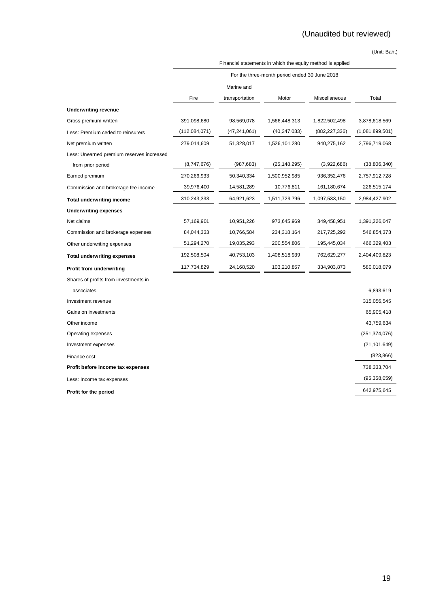|                                           | Financial statements in which the equity method is applied |                |                                               |                 |                 |  |  |
|-------------------------------------------|------------------------------------------------------------|----------------|-----------------------------------------------|-----------------|-----------------|--|--|
|                                           |                                                            |                | For the three-month period ended 30 June 2018 |                 |                 |  |  |
|                                           |                                                            | Marine and     |                                               |                 |                 |  |  |
|                                           | Fire                                                       | transportation | Motor                                         | Miscellaneous   | Total           |  |  |
| <b>Underwriting revenue</b>               |                                                            |                |                                               |                 |                 |  |  |
| Gross premium written                     | 391,098,680                                                | 98,569,078     | 1,566,448,313                                 | 1,822,502,498   | 3,878,618,569   |  |  |
| Less: Premium ceded to reinsurers         | (112,084,071)                                              | (47, 241, 061) | (40, 347, 033)                                | (882, 227, 336) | (1,081,899,501) |  |  |
| Net premium written                       | 279,014,609                                                | 51,328,017     | 1,526,101,280                                 | 940,275,162     | 2,796,719,068   |  |  |
| Less: Unearned premium reserves increased |                                                            |                |                                               |                 |                 |  |  |
| from prior period                         | (8,747,676)                                                | (987, 683)     | (25, 148, 295)                                | (3,922,686)     | (38, 806, 340)  |  |  |
| Earned premium                            | 270,266,933                                                | 50,340,334     | 1,500,952,985                                 | 936,352,476     | 2,757,912,728   |  |  |
| Commission and brokerage fee income       | 39,976,400                                                 | 14,581,289     | 10,776,811                                    | 161,180,674     | 226,515,174     |  |  |
| <b>Total underwriting income</b>          | 310,243,333                                                | 64,921,623     | 1,511,729,796                                 | 1,097,533,150   | 2,984,427,902   |  |  |
| <b>Underwriting expenses</b>              |                                                            |                |                                               |                 |                 |  |  |
| Net claims                                | 57,169,901                                                 | 10,951,226     | 973,645,969                                   | 349,458,951     | 1,391,226,047   |  |  |
| Commission and brokerage expenses         | 84,044,333                                                 | 10,766,584     | 234,318,164                                   | 217,725,292     | 546,854,373     |  |  |
| Other underwriting expenses               | 51,294,270                                                 | 19,035,293     | 200,554,806                                   | 195,445,034     | 466,329,403     |  |  |
| Total underwriting expenses               | 192,508,504                                                | 40,753,103     | 1,408,518,939                                 | 762,629,277     | 2,404,409,823   |  |  |
| Profit from underwriting                  | 117,734,829                                                | 24,168,520     | 103,210,857                                   | 334,903,873     | 580,018,079     |  |  |
| Shares of profits from investments in     |                                                            |                |                                               |                 |                 |  |  |
| associates                                |                                                            |                |                                               |                 | 6,893,619       |  |  |
| Investment revenue                        |                                                            |                |                                               |                 | 315,056,545     |  |  |
| Gains on investments                      |                                                            |                |                                               |                 | 65,905,418      |  |  |
| Other income                              |                                                            |                |                                               |                 | 43,759,634      |  |  |
| Operating expenses                        |                                                            |                |                                               |                 | (251, 374, 076) |  |  |
| Investment expenses                       |                                                            |                |                                               |                 | (21, 101, 649)  |  |  |
| Finance cost                              |                                                            |                |                                               |                 | (823, 866)      |  |  |
| Profit before income tax expenses         |                                                            |                |                                               |                 | 738,333,704     |  |  |
| Less: Income tax expenses                 |                                                            |                |                                               |                 | (95, 358, 059)  |  |  |
| Profit for the period                     |                                                            |                |                                               |                 | 642,975,645     |  |  |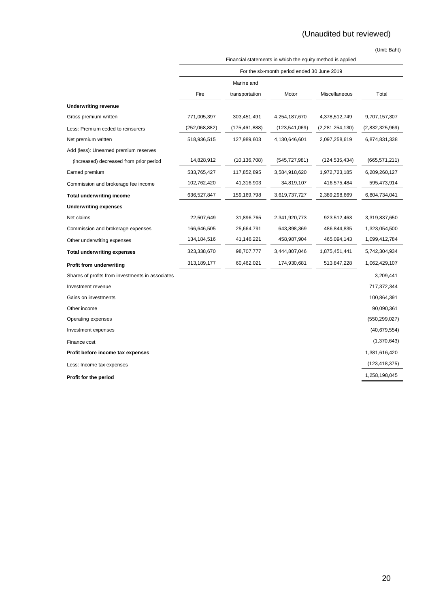|                                                  | Financial statements in which the equity method is applied |                 |                                             |                 |                 |  |
|--------------------------------------------------|------------------------------------------------------------|-----------------|---------------------------------------------|-----------------|-----------------|--|
|                                                  |                                                            |                 | For the six-month period ended 30 June 2019 |                 |                 |  |
|                                                  |                                                            | Marine and      |                                             |                 |                 |  |
|                                                  | Fire                                                       | transportation  | Motor                                       | Miscellaneous   | Total           |  |
| <b>Underwriting revenue</b>                      |                                                            |                 |                                             |                 |                 |  |
| Gross premium written                            | 771,005,397                                                | 303,451,491     | 4,254,187,670                               | 4,378,512,749   | 9,707,157,307   |  |
| Less: Premium ceded to reinsurers                | (252,068,882)                                              | (175, 461, 888) | (123, 541, 069)                             | (2,281,254,130) | (2,832,325,969) |  |
| Net premium written                              | 518,936,515                                                | 127,989,603     | 4,130,646,601                               | 2,097,258,619   | 6,874,831,338   |  |
| Add (less): Unearned premium reserves            |                                                            |                 |                                             |                 |                 |  |
| (increased) decreased from prior period          | 14,828,912                                                 | (10, 136, 708)  | (545, 727, 981)                             | (124, 535, 434) | (665, 571, 211) |  |
| Earned premium                                   | 533,765,427                                                | 117,852,895     | 3,584,918,620                               | 1,972,723,185   | 6,209,260,127   |  |
| Commission and brokerage fee income              | 102,762,420                                                | 41,316,903      | 34,819,107                                  | 416,575,484     | 595,473,914     |  |
| <b>Total underwriting income</b>                 | 636,527,847                                                | 159,169,798     | 3,619,737,727                               | 2,389,298,669   | 6,804,734,041   |  |
| <b>Underwriting expenses</b>                     |                                                            |                 |                                             |                 |                 |  |
| Net claims                                       | 22,507,649                                                 | 31,896,765      | 2,341,920,773                               | 923,512,463     | 3,319,837,650   |  |
| Commission and brokerage expenses                | 166,646,505                                                | 25,664,791      | 643,898,369                                 | 486,844,835     | 1,323,054,500   |  |
| Other underwriting expenses                      | 134,184,516                                                | 41,146,221      | 458,987,904                                 | 465,094,143     | 1,099,412,784   |  |
| <b>Total underwriting expenses</b>               | 323,338,670                                                | 98,707,777      | 3,444,807,046                               | 1,875,451,441   | 5,742,304,934   |  |
| Profit from underwriting                         | 313,189,177                                                | 60,462,021      | 174,930,681                                 | 513,847,228     | 1,062,429,107   |  |
| Shares of profits from investments in associates |                                                            |                 |                                             |                 | 3,209,441       |  |
| Investment revenue                               |                                                            |                 |                                             |                 | 717,372,344     |  |
| Gains on investments                             |                                                            |                 |                                             |                 | 100,864,391     |  |
| Other income                                     |                                                            |                 |                                             |                 | 90,090,361      |  |
| Operating expenses                               |                                                            |                 |                                             |                 | (550, 299, 027) |  |
| Investment expenses                              |                                                            |                 |                                             |                 | (40, 679, 554)  |  |
| Finance cost                                     |                                                            |                 |                                             |                 | (1,370,643)     |  |
| Profit before income tax expenses                |                                                            |                 |                                             |                 | 1,381,616,420   |  |
| Less: Income tax expenses                        |                                                            |                 |                                             |                 | (123, 418, 375) |  |
| Profit for the period                            |                                                            |                 |                                             |                 | 1,258,198,045   |  |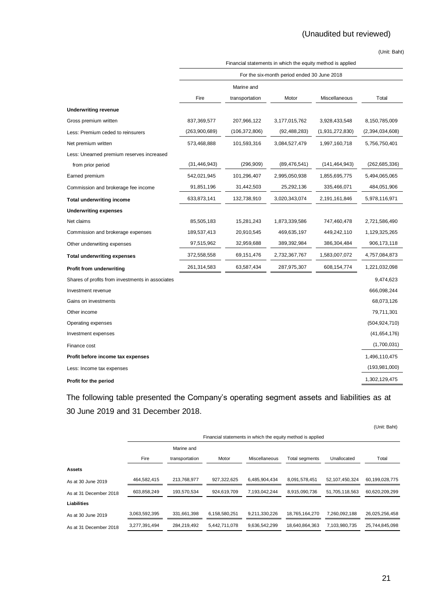|                                                  | Financial statements in which the equity method is applied |                 |                                             |                 |                 |  |
|--------------------------------------------------|------------------------------------------------------------|-----------------|---------------------------------------------|-----------------|-----------------|--|
|                                                  |                                                            |                 | For the six-month period ended 30 June 2018 |                 |                 |  |
|                                                  |                                                            | Marine and      |                                             |                 |                 |  |
|                                                  | Fire                                                       | transportation  | Motor                                       | Miscellaneous   | Total           |  |
| <b>Underwriting revenue</b>                      |                                                            |                 |                                             |                 |                 |  |
| Gross premium written                            | 837,369,577                                                | 207,966,122     | 3,177,015,762                               | 3,928,433,548   | 8,150,785,009   |  |
| Less: Premium ceded to reinsurers                | (263,900,689)                                              | (106, 372, 806) | (92, 488, 283)                              | (1,931,272,830) | (2,394,034,608) |  |
| Net premium written                              | 573,468,888                                                | 101,593,316     | 3,084,527,479                               | 1,997,160,718   | 5,756,750,401   |  |
| Less: Unearned premium reserves increased        |                                                            |                 |                                             |                 |                 |  |
| from prior period                                | (31, 446, 943)                                             | (296, 909)      | (89, 476, 541)                              | (141, 464, 943) | (262, 685, 336) |  |
| Earned premium                                   | 542,021,945                                                | 101,296,407     | 2,995,050,938                               | 1,855,695,775   | 5,494,065,065   |  |
| Commission and brokerage fee income              | 91,851,196                                                 | 31,442,503      | 25,292,136                                  | 335,466,071     | 484,051,906     |  |
| <b>Total underwriting income</b>                 | 633,873,141                                                | 132,738,910     | 3,020,343,074                               | 2,191,161,846   | 5,978,116,971   |  |
| <b>Underwriting expenses</b>                     |                                                            |                 |                                             |                 |                 |  |
| Net claims                                       | 85,505,183                                                 | 15,281,243      | 1,873,339,586                               | 747,460,478     | 2,721,586,490   |  |
| Commission and brokerage expenses                | 189,537,413                                                | 20,910,545      | 469,635,197                                 | 449,242,110     | 1,129,325,265   |  |
| Other underwriting expenses                      | 97,515,962                                                 | 32,959,688      | 389,392,984                                 | 386,304,484     | 906,173,118     |  |
| <b>Total underwriting expenses</b>               | 372,558,558                                                | 69,151,476      | 2,732,367,767                               | 1,583,007,072   | 4,757,084,873   |  |
| Profit from underwriting                         | 261,314,583                                                | 63,587,434      | 287,975,307                                 | 608,154,774     | 1,221,032,098   |  |
| Shares of profits from investments in associates |                                                            |                 |                                             |                 | 9,474,623       |  |
| Investment revenue                               |                                                            |                 |                                             |                 | 666,098,244     |  |
| Gains on investments                             |                                                            |                 |                                             |                 | 68,073,126      |  |
| Other income                                     |                                                            |                 |                                             |                 | 79,711,301      |  |
| Operating expenses                               |                                                            |                 |                                             |                 | (504, 924, 710) |  |
| Investment expenses                              |                                                            |                 |                                             |                 | (41,654,176)    |  |
| Finance cost                                     |                                                            |                 |                                             |                 | (1,700,031)     |  |
| Profit before income tax expenses                |                                                            |                 |                                             |                 | 1,496,110,475   |  |
| Less: Income tax expenses                        |                                                            |                 |                                             |                 | (193, 981, 000) |  |
| Profit for the period                            |                                                            |                 |                                             |                 | 1,302,129,475   |  |

The following table presented the Company's operating segment assets and liabilities as at 30 June 2019 and 31 December 2018.

|               |                |               |               |                       |                | (Unit: Baht)                                               |
|---------------|----------------|---------------|---------------|-----------------------|----------------|------------------------------------------------------------|
|               |                |               |               |                       |                |                                                            |
|               | Marine and     |               |               |                       |                |                                                            |
| Fire          | transportation | Motor         | Miscellaneous | <b>Total segments</b> | Unallocated    | Total                                                      |
|               |                |               |               |                       |                |                                                            |
| 464.582.415   | 213,768,977    | 927.322.625   | 6.485.904.434 | 8.091.578.451         | 52.107.450.324 | 60.199.028.775                                             |
| 603,858,249   | 193,570,534    | 924,619,709   | 7,193,042,244 | 8,915,090,736         | 51,705,118,563 | 60,620,209,299                                             |
|               |                |               |               |                       |                |                                                            |
| 3.063.592.395 | 331.661.398    | 6.158.580.251 | 9.211.330.226 | 18.765.164.270        | 7.260.092.188  | 26.025.256.458                                             |
| 3,277,391,494 | 284,219,492    | 5,442,711,078 | 9,636,542,299 | 18,640,864,363        | 7,103,980,735  | 25,744,845,098                                             |
|               |                |               |               |                       |                | Financial statements in which the equity method is applied |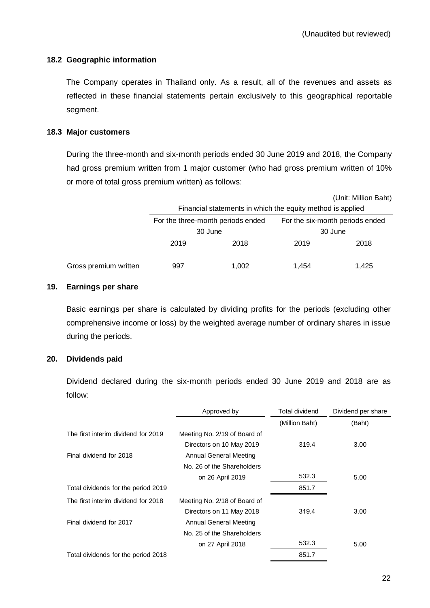# **18.2 Geographic information**

The Company operates in Thailand only. As a result, all of the revenues and assets as reflected in these financial statements pertain exclusively to this geographical reportable segment.

# **18.3 Major customers**

During the three-month and six-month periods ended 30 June 2019 and 2018, the Company had gross premium written from 1 major customer (who had gross premium written of 10% or more of total gross premium written) as follows:

|                       |              |                                                            |         | (Unit: Million Baht)            |  |
|-----------------------|--------------|------------------------------------------------------------|---------|---------------------------------|--|
|                       |              | Financial statements in which the equity method is applied |         |                                 |  |
|                       |              | For the three-month periods ended                          |         | For the six-month periods ended |  |
|                       | 30 June      |                                                            | 30 June |                                 |  |
|                       | 2019<br>2018 |                                                            | 2019    | 2018                            |  |
| Gross premium written | 997          | 1.002                                                      | 1.454   | 1.425                           |  |

# <span id="page-31-0"></span>**19. Earnings per share**

Basic earnings per share is calculated by dividing profits for the periods (excluding other comprehensive income or loss) by the weighted average number of ordinary shares in issue during the periods.

# <span id="page-31-1"></span>**20. Dividends paid**

Dividend declared during the six-month periods ended 30 June 2019 and 2018 are as follow:

|                                     | Approved by                  | <b>Total dividend</b> | Dividend per share |  |
|-------------------------------------|------------------------------|-----------------------|--------------------|--|
|                                     |                              | (Million Baht)        | (Baht)             |  |
| The first interim dividend for 2019 | Meeting No. 2/19 of Board of |                       |                    |  |
|                                     | Directors on 10 May 2019     | 319.4                 | 3.00               |  |
| Final dividend for 2018             | Annual General Meeting       |                       |                    |  |
|                                     | No. 26 of the Shareholders   |                       |                    |  |
|                                     | on 26 April 2019             | 532.3                 | 5.00               |  |
| Total dividends for the period 2019 |                              | 851.7                 |                    |  |
| The first interim dividend for 2018 | Meeting No. 2/18 of Board of |                       |                    |  |
|                                     | Directors on 11 May 2018     | 319.4                 | 3.00               |  |
| Final dividend for 2017             | Annual General Meeting       |                       |                    |  |
|                                     | No. 25 of the Shareholders   |                       |                    |  |
|                                     | on 27 April 2018             | 532.3                 | 5.00               |  |
| Total dividends for the period 2018 |                              | 851.7                 |                    |  |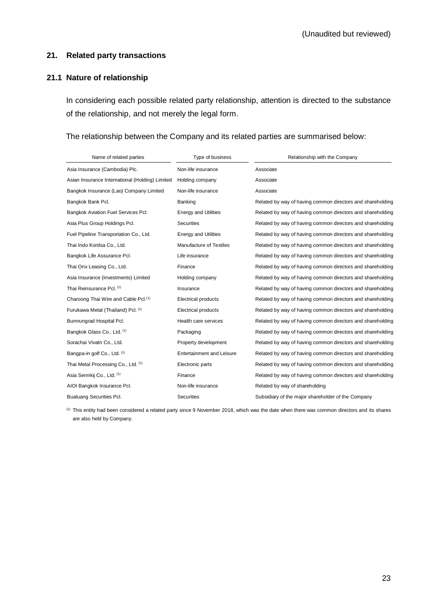# <span id="page-32-0"></span>**21. Related party transactions**

# **21.1 Nature of relationship**

In considering each possible related party relationship, attention is directed to the substance of the relationship, and not merely the legal form.

# The relationship between the Company and its related parties are summarised below:

| Name of related parties                          | Type of business                 | Relationship with the Company                              |
|--------------------------------------------------|----------------------------------|------------------------------------------------------------|
| Asia Insurance (Cambodia) Plc.                   | Non-life insurance               | Associate                                                  |
| Asian Insurance International (Holding) Limited  | Holding company                  | Associate                                                  |
| Bangkok Insurance (Lao) Company Limited          | Non-life insurance               | Associate                                                  |
| Bangkok Bank Pcl.                                | Banking                          | Related by way of having common directors and shareholding |
| Bangkok Aviation Fuel Services Pcl.              | <b>Energy and Utilities</b>      | Related by way of having common directors and shareholding |
| Asia Plus Group Holdings Pcl.                    | <b>Securities</b>                | Related by way of having common directors and shareholding |
| Fuel Pipeline Transportation Co., Ltd.           | <b>Energy and Utilities</b>      | Related by way of having common directors and shareholding |
| Thai Indo Kordsa Co., Ltd.                       | Manufacture of Textiles          | Related by way of having common directors and shareholding |
| Bangkok Life Assurance Pcl.                      | Life insurance                   | Related by way of having common directors and shareholding |
| Thai Orix Leasing Co., Ltd.                      | Finance                          | Related by way of having common directors and shareholding |
| Asia Insurance (Investments) Limited             | Holding company                  | Related by way of having common directors and shareholding |
| Thai Reinsurance Pcl. (1)                        | Insurance                        | Related by way of having common directors and shareholding |
| Charoong Thai Wire and Cable Pcl. <sup>(1)</sup> | Electrical products              | Related by way of having common directors and shareholding |
| Furukawa Metal (Thailand) Pcl. (1)               | Electrical products              | Related by way of having common directors and shareholding |
| Bumrungrad Hospital Pcl.                         | Health care services             | Related by way of having common directors and shareholding |
| Bangkok Glass Co., Ltd. (1)                      | Packaging                        | Related by way of having common directors and shareholding |
| Sorachai Vivatn Co., Ltd.                        | Property development             | Related by way of having common directors and shareholding |
| Bangpa-in golf Co., Ltd. (1)                     | <b>Entertainment and Leisure</b> | Related by way of having common directors and shareholding |
| Thai Metal Processing Co., Ltd. (1)              | Electronic parts                 | Related by way of having common directors and shareholding |
| Asia Sermkij Co., Ltd. (1)                       | Finance                          | Related by way of having common directors and shareholding |
| AIOI Bangkok Insurance Pcl.                      | Non-life insurance               | Related by way of shareholding                             |
| <b>Bualuang Securities Pcl.</b>                  | Securities                       | Subsidiary of the major shareholder of the Company         |

(1) This entity had been considered a related party since 9 November 2018, which was the date when there was common directors and its shares are also held by Company.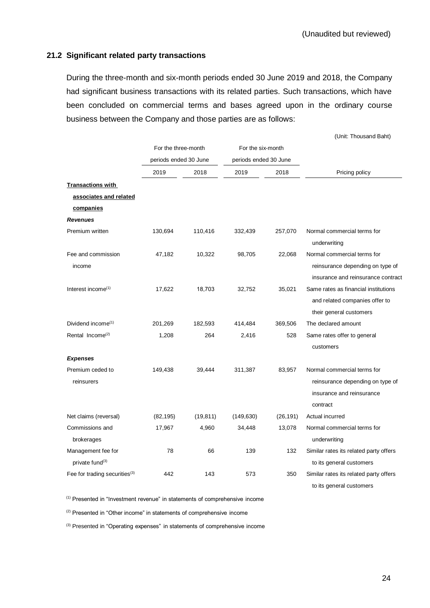# **21.2 Significant related party transactions**

During the three-month and six-month periods ended 30 June 2019 and 2018, the Company had significant business transactions with its related parties. Such transactions, which have been concluded on commercial terms and bases agreed upon in the ordinary course business between the Company and those parties are as follows:

|                                                   |                       |           |                       |           | (Unit: Thousand Baht)                                                                                    |
|---------------------------------------------------|-----------------------|-----------|-----------------------|-----------|----------------------------------------------------------------------------------------------------------|
|                                                   | For the three-month   |           | For the six-month     |           |                                                                                                          |
|                                                   | periods ended 30 June |           | periods ended 30 June |           |                                                                                                          |
|                                                   | 2019                  | 2018      | 2019                  | 2018      | Pricing policy                                                                                           |
| <b>Transactions with</b>                          |                       |           |                       |           |                                                                                                          |
| associates and related                            |                       |           |                       |           |                                                                                                          |
| companies                                         |                       |           |                       |           |                                                                                                          |
| <b>Revenues</b>                                   |                       |           |                       |           |                                                                                                          |
| Premium written                                   | 130,694               | 110,416   | 332,439               | 257,070   | Normal commercial terms for<br>underwriting                                                              |
| Fee and commission<br>income                      | 47,182                | 10,322    | 98,705                | 22,068    | Normal commercial terms for<br>reinsurance depending on type of<br>insurance and reinsurance contract    |
| Interest income <sup>(1)</sup>                    | 17,622                | 18,703    | 32,752                | 35,021    | Same rates as financial institutions<br>and related companies offer to<br>their general customers        |
| Dividend income $(1)$                             | 201,269               | 182,593   | 414,484               | 369,506   | The declared amount                                                                                      |
| Rental Income <sup>(2)</sup>                      | 1,208                 | 264       | 2,416                 | 528       | Same rates offer to general<br>customers                                                                 |
| <b>Expenses</b>                                   |                       |           |                       |           |                                                                                                          |
| Premium ceded to<br>reinsurers                    | 149,438               | 39,444    | 311,387               | 83,957    | Normal commercial terms for<br>reinsurance depending on type of<br>insurance and reinsurance<br>contract |
| Net claims (reversal)                             | (82, 195)             | (19, 811) | (149, 630)            | (26, 191) | Actual incurred                                                                                          |
| Commissions and<br>brokerages                     | 17,967                | 4,960     | 34,448                | 13,078    | Normal commercial terms for<br>underwriting                                                              |
| Management fee for<br>private fund <sup>(3)</sup> | 78                    | 66        | 139                   | 132       | Similar rates its related party offers<br>to its general customers                                       |
| Fee for trading securities <sup>(3)</sup>         | 442                   | 143       | 573                   | 350       | Similar rates its related party offers<br>to its general customers                                       |

(1) Presented in "Investment revenue" in statements of comprehensive income

(2) Presented in "Other income" in statements of comprehensive income

(3) Presented in "Operating expenses" in statements of comprehensive income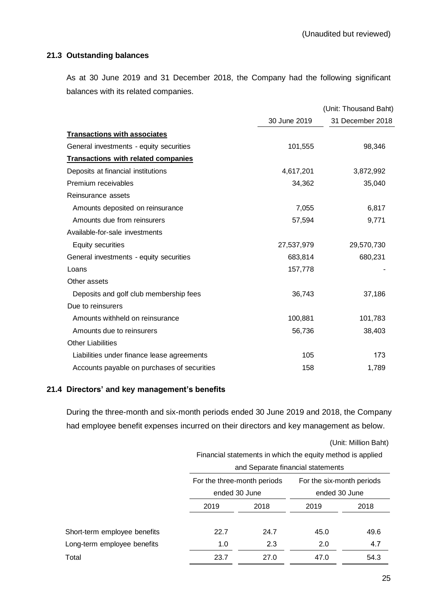# **21.3 Outstanding balances**

As at 30 June 2019 and 31 December 2018, the Company had the following significant balances with its related companies.

|                                             |              | (Unit: Thousand Baht) |
|---------------------------------------------|--------------|-----------------------|
|                                             | 30 June 2019 | 31 December 2018      |
| <b>Transactions with associates</b>         |              |                       |
| General investments - equity securities     | 101,555      | 98,346                |
| <b>Transactions with related companies</b>  |              |                       |
| Deposits at financial institutions          | 4,617,201    | 3,872,992             |
| Premium receivables                         | 34,362       | 35,040                |
| Reinsurance assets                          |              |                       |
| Amounts deposited on reinsurance            | 7,055        | 6,817                 |
| Amounts due from reinsurers                 | 57,594       | 9,771                 |
| Available-for-sale investments              |              |                       |
| Equity securities                           | 27,537,979   | 29,570,730            |
| General investments - equity securities     | 683,814      | 680,231               |
| Loans                                       | 157,778      |                       |
| Other assets                                |              |                       |
| Deposits and golf club membership fees      | 36,743       | 37,186                |
| Due to reinsurers                           |              |                       |
| Amounts withheld on reinsurance             | 100,881      | 101,783               |
| Amounts due to reinsurers                   | 56,736       | 38,403                |
| <b>Other Liabilities</b>                    |              |                       |
| Liabilities under finance lease agreements  | 105          | 173                   |
| Accounts payable on purchases of securities | 158          | 1,789                 |

# **21.4 Directors' and key management's benefits**

During the three-month and six-month periods ended 30 June 2019 and 2018, the Company had employee benefit expenses incurred on their directors and key management as below.

|                              | (Unit: Million Baht)                                       |               |               |      |  |  |
|------------------------------|------------------------------------------------------------|---------------|---------------|------|--|--|
|                              | Financial statements in which the equity method is applied |               |               |      |  |  |
|                              | and Separate financial statements                          |               |               |      |  |  |
|                              | For the six-month periods<br>For the three-month periods   |               |               |      |  |  |
|                              |                                                            | ended 30 June | ended 30 June |      |  |  |
|                              | 2018<br>2019                                               |               | 2019          | 2018 |  |  |
|                              |                                                            |               |               |      |  |  |
| Short-term employee benefits | 22.7                                                       | 24.7          | 45.0          | 49.6 |  |  |
| Long-term employee benefits  | 1.0                                                        | 2.3           | 2.0           | 4.7  |  |  |
| Total                        | 23.7                                                       | 27.0          | 47.0          | 54.3 |  |  |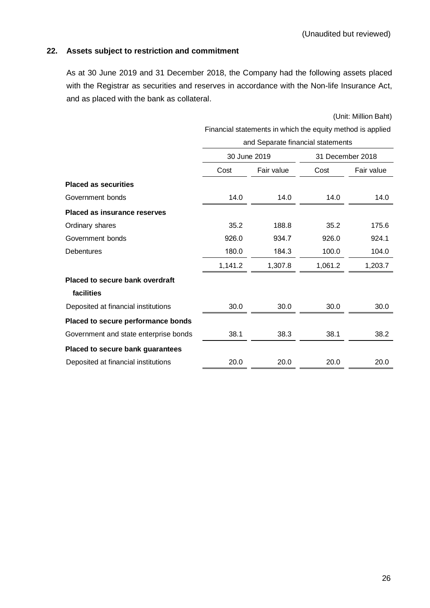# <span id="page-35-0"></span>**22. Assets subject to restriction and commitment**

As at 30 June 2019 and 31 December 2018, the Company had the following assets placed with the Registrar as securities and reserves in accordance with the Non-life Insurance Act, and as placed with the bank as collateral.

|                                        | Financial statements in which the equity method is applied |            |                  |            |  |  |  |
|----------------------------------------|------------------------------------------------------------|------------|------------------|------------|--|--|--|
|                                        | and Separate financial statements                          |            |                  |            |  |  |  |
|                                        | 30 June 2019                                               |            | 31 December 2018 |            |  |  |  |
|                                        | Cost                                                       | Fair value | Cost             | Fair value |  |  |  |
| <b>Placed as securities</b>            |                                                            |            |                  |            |  |  |  |
| Government bonds                       | 14.0                                                       | 14.0       | 14.0             | 14.0       |  |  |  |
| <b>Placed as insurance reserves</b>    |                                                            |            |                  |            |  |  |  |
| Ordinary shares                        | 35.2                                                       | 188.8      | 35.2             | 175.6      |  |  |  |
| Government bonds                       | 926.0                                                      | 934.7      | 926.0            | 924.1      |  |  |  |
| <b>Debentures</b>                      | 180.0                                                      | 184.3      | 100.0            | 104.0      |  |  |  |
|                                        | 1,141.2                                                    | 1,307.8    | 1,061.2          | 1,203.7    |  |  |  |
| <b>Placed to secure bank overdraft</b> |                                                            |            |                  |            |  |  |  |
| facilities                             |                                                            |            |                  |            |  |  |  |
| Deposited at financial institutions    | 30.0                                                       | 30.0       | 30.0             | 30.0       |  |  |  |
| Placed to secure performance bonds     |                                                            |            |                  |            |  |  |  |
| Government and state enterprise bonds  | 38.1                                                       | 38.3       | 38.1             | 38.2       |  |  |  |
| Placed to secure bank guarantees       |                                                            |            |                  |            |  |  |  |
| Deposited at financial institutions    | 20.0                                                       | 20.0       | 20.0             | 20.0       |  |  |  |
|                                        |                                                            |            |                  |            |  |  |  |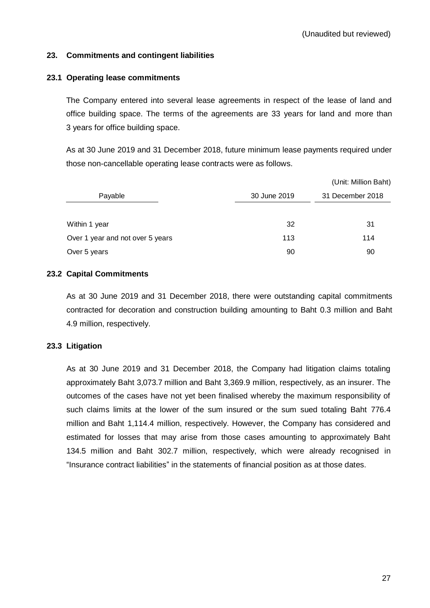# <span id="page-36-0"></span>**23. Commitments and contingent liabilities**

# **23.1 Operating lease commitments**

The Company entered into several lease agreements in respect of the lease of land and office building space. The terms of the agreements are 33 years for land and more than 3 years for office building space.

As at 30 June 2019 and 31 December 2018, future minimum lease payments required under those non-cancellable operating lease contracts were as follows.

|                                  |              | (Unit: Million Baht) |  |  |
|----------------------------------|--------------|----------------------|--|--|
| Payable                          | 30 June 2019 | 31 December 2018     |  |  |
|                                  |              |                      |  |  |
| Within 1 year                    | 32           | 31                   |  |  |
| Over 1 year and not over 5 years | 113          | 114                  |  |  |
| Over 5 years                     | 90           | 90                   |  |  |

# **23.2 Capital Commitments**

As at 30 June 2019 and 31 December 2018, there were outstanding capital commitments contracted for decoration and construction building amounting to Baht 0.3 million and Baht 4.9 million, respectively.

# **23.3 Litigation**

As at 30 June 2019 and 31 December 2018, the Company had litigation claims totaling approximately Baht 3,073.7 million and Baht 3,369.9 million, respectively, as an insurer. The outcomes of the cases have not yet been finalised whereby the maximum responsibility of such claims limits at the lower of the sum insured or the sum sued totaling Baht 776.4 million and Baht 1,114.4 million, respectively. However, the Company has considered and estimated for losses that may arise from those cases amounting to approximately Baht 134.5 million and Baht 302.7 million, respectively, which were already recognised in "Insurance contract liabilities" in the statements of financial position as at those dates.